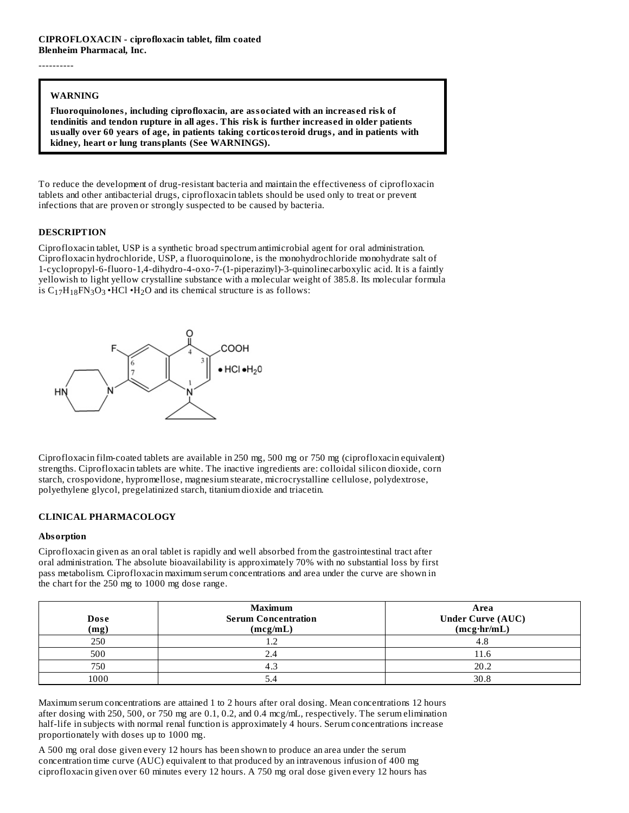----------

# **WARNING**

**Fluoroquinolones, including ciprofloxacin, are associated with an increas ed risk of tendinitis and tendon rupture in all ages. This risk is further increas ed in older patients usually over 60 years of age, in patients taking corticosteroid drugs, and in patients with kidney, heart or lung transplants (See WARNINGS).**

To reduce the development of drug-resistant bacteria and maintain the effectiveness of ciprofloxacin tablets and other antibacterial drugs, ciprofloxacin tablets should be used only to treat or prevent infections that are proven or strongly suspected to be caused by bacteria.

## **DESCRIPTION**

Ciprofloxacin tablet, USP is a synthetic broad spectrum antimicrobial agent for oral administration. Ciprofloxacin hydrochloride, USP, a fluoroquinolone, is the monohydrochloride monohydrate salt of 1-cyclopropyl-6-fluoro-1,4-dihydro-4-oxo-7-(1-piperazinyl)-3-quinolinecarboxylic acid. It is a faintly yellowish to light yellow crystalline substance with a molecular weight of 385.8. Its molecular formula is  $C_{17}H_{18}FN_3O_3 \cdot HCl \cdot H_2O$  and its chemical structure is as follows:



Ciprofloxacin film-coated tablets are available in 250 mg, 500 mg or 750 mg (ciprofloxacin equivalent) strengths. Ciprofloxacin tablets are white. The inactive ingredients are: colloidal silicon dioxide, corn starch, crospovidone, hypromellose, magnesium stearate, microcrystalline cellulose, polydextrose, polyethylene glycol, pregelatinized starch, titanium dioxide and triacetin.

## **CLINICAL PHARMACOLOGY**

### **Absorption**

Ciprofloxacin given as an oral tablet is rapidly and well absorbed from the gastrointestinal tract after oral administration. The absolute bioavailability is approximately 70% with no substantial loss by first pass metabolism. Ciprofloxacin maximum serum concentrations and area under the curve are shown in the chart for the 250 mg to 1000 mg dose range.

| Dose<br>(mg) | <b>Maximum</b><br><b>Serum Concentration</b><br>(mcg/mL) | Area<br><b>Under Curve (AUC)</b><br>$(mcg\cdot hr/mL)$ |
|--------------|----------------------------------------------------------|--------------------------------------------------------|
| 250          | 1.2                                                      | 4.8                                                    |
| 500          | 2.4                                                      | 11.6                                                   |
| 750          | 4.3                                                      | 20.2                                                   |
| 1000         | 5.4                                                      | 30.8                                                   |

Maximum serum concentrations are attained 1 to 2 hours after oral dosing. Mean concentrations 12 hours after dosing with 250, 500, or 750 mg are 0.1, 0.2, and 0.4 mcg/mL, respectively. The serum elimination half-life in subjects with normal renal function is approximately 4 hours. Serum concentrations increase proportionately with doses up to 1000 mg.

A 500 mg oral dose given every 12 hours has been shown to produce an area under the serum concentration time curve (AUC) equivalent to that produced by an intravenous infusion of 400 mg ciprofloxacin given over 60 minutes every 12 hours. A 750 mg oral dose given every 12 hours has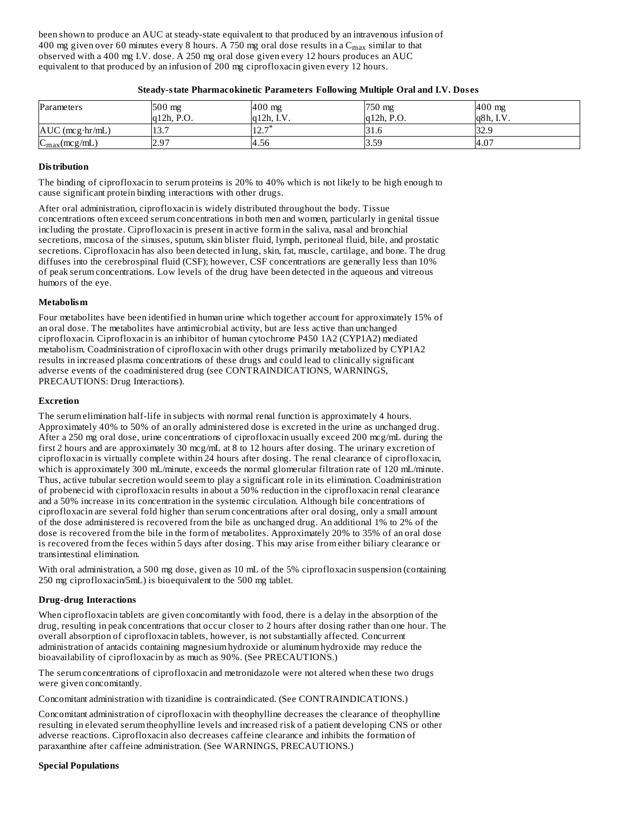been shown to produce an AUC at steady-state equivalent to that produced by an intravenous infusion of 400 mg given over 60 minutes every 8 hours. A 750 mg oral dose results in a  $\rm{C_{max}}$  similar to that observed with a 400 mg I.V. dose. A 250 mg oral dose given every 12 hours produces an AUC equivalent to that produced by an infusion of 200 mg ciprofloxacin given every 12 hours.

| Parameters        | $500$ mg<br>$q12h$ , P.O. | $400$ mg<br>$q12h$ , I.V. | 750 mg<br>$q12h$ , P.O. | $400$ mg<br>$q8h$ , I.V. |
|-------------------|---------------------------|---------------------------|-------------------------|--------------------------|
| $AUC$ (mcg·hr/mL) | 13.7                      | 12.7                      | 31.6                    | 32.9                     |
| $C_{max}(mcg/mL)$ | 2.97                      | 4.56                      | 3.59                    | 4.07                     |

## **Steady-state Pharmacokinetic Parameters Following Multiple Oral and I.V. Dos es**

## **Distribution**

The binding of ciprofloxacin to serum proteins is 20% to 40% which is not likely to be high enough to cause significant protein binding interactions with other drugs.

After oral administration, ciprofloxacin is widely distributed throughout the body. Tissue concentrations often exceed serum concentrations in both men and women, particularly in genital tissue including the prostate. Ciprofloxacin is present in active form in the saliva, nasal and bronchial secretions, mucosa of the sinuses, sputum, skin blister fluid, lymph, peritoneal fluid, bile, and prostatic secretions. Ciprofloxacin has also been detected in lung, skin, fat, muscle, cartilage, and bone. The drug diffuses into the cerebrospinal fluid (CSF); however, CSF concentrations are generally less than 10% of peak serum concentrations. Low levels of the drug have been detected in the aqueous and vitreous humors of the eye.

## **Metabolism**

Four metabolites have been identified in human urine which together account for approximately 15% of an oral dose. The metabolites have antimicrobial activity, but are less active than unchanged ciprofloxacin. Ciprofloxacin is an inhibitor of human cytochrome P450 1A2 (CYP1A2) mediated metabolism. Coadministration of ciprofloxacin with other drugs primarily metabolized by CYP1A2 results in increased plasma concentrations of these drugs and could lead to clinically significant adverse events of the coadministered drug (see CONTRAINDICATIONS, WARNINGS, PRECAUTIONS: Drug Interactions).

## **Excretion**

The serum elimination half-life in subjects with normal renal function is approximately 4 hours. Approximately 40% to 50% of an orally administered dose is excreted in the urine as unchanged drug. After a 250 mg oral dose, urine concentrations of ciprofloxacin usually exceed 200 mcg/mL during the first 2 hours and are approximately 30 mcg/mL at 8 to 12 hours after dosing. The urinary excretion of ciprofloxacin is virtually complete within 24 hours after dosing. The renal clearance of ciprofloxacin, which is approximately 300 mL/minute, exceeds the normal glomerular filtration rate of 120 mL/minute. Thus, active tubular secretion would seem to play a significant role in its elimination. Coadministration of probenecid with ciprofloxacin results in about a 50% reduction in the ciprofloxacin renal clearance and a 50% increase in its concentration in the systemic circulation. Although bile concentrations of ciprofloxacin are several fold higher than serum concentrations after oral dosing, only a small amount of the dose administered is recovered from the bile as unchanged drug. An additional 1% to 2% of the dose is recovered from the bile in the form of metabolites. Approximately 20% to 35% of an oral dose is recovered from the feces within 5 days after dosing. This may arise from either biliary clearance or transintestinal elimination.

With oral administration, a 500 mg dose, given as 10 mL of the 5% ciprofloxacin suspension (containing 250 mg ciprofloxacin/5mL) is bioequivalent to the 500 mg tablet.

## **Drug-drug Interactions**

When ciprofloxacin tablets are given concomitantly with food, there is a delay in the absorption of the drug, resulting in peak concentrations that occur closer to 2 hours after dosing rather than one hour. The overall absorption of ciprofloxacin tablets, however, is not substantially affected. Concurrent administration of antacids containing magnesium hydroxide or aluminum hydroxide may reduce the bioavailability of ciprofloxacin by as much as 90%. (See PRECAUTIONS.)

The serum concentrations of ciprofloxacin and metronidazole were not altered when these two drugs were given concomitantly.

Concomitant administration with tizanidine is contraindicated. (See CONTRAINDICATIONS.)

Concomitant administration of ciprofloxacin with theophylline decreases the clearance of theophylline resulting in elevated serum theophylline levels and increased risk of a patient developing CNS or other adverse reactions. Ciprofloxacin also decreases caffeine clearance and inhibits the formation of paraxanthine after caffeine administration. (See WARNINGS, PRECAUTIONS.)

### **Special Populations**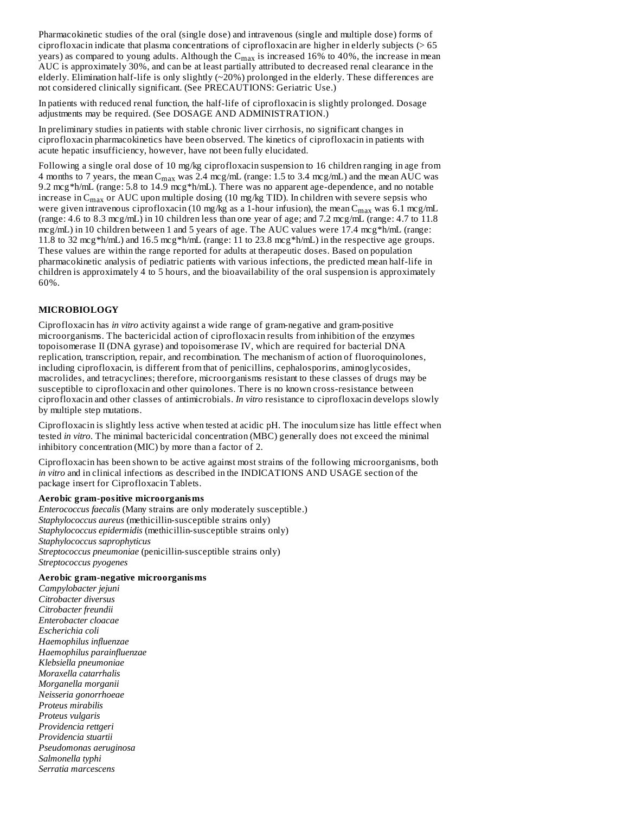Pharmacokinetic studies of the oral (single dose) and intravenous (single and multiple dose) forms of ciprofloxacin indicate that plasma concentrations of ciprofloxacin are higher in elderly subjects (> 65 years) as compared to young adults. Although the  $\rm C_{max}$  is increased 16% to 40%, the increase in mean AUC is approximately 30%, and can be at least partially attributed to decreased renal clearance in the elderly. Elimination half-life is only slightly (~20%) prolonged in the elderly. These differences are not considered clinically significant. (See PRECAUTIONS: Geriatric Use.)

In patients with reduced renal function, the half-life of ciprofloxacin is slightly prolonged. Dosage adjustments may be required. (See DOSAGE AND ADMINISTRATION.)

In preliminary studies in patients with stable chronic liver cirrhosis, no significant changes in ciprofloxacin pharmacokinetics have been observed. The kinetics of ciprofloxacin in patients with acute hepatic insufficiency, however, have not been fully elucidated.

Following a single oral dose of 10 mg/kg ciprofloxacin suspension to 16 children ranging in age from 4 months to 7 years, the mean  $C_{max}$  was 2.4 mcg/mL (range: 1.5 to 3.4 mcg/mL) and the mean AUC was 9.2 mcg\*h/mL (range: 5.8 to 14.9 mcg\*h/mL). There was no apparent age-dependence, and no notable increase in  $\mathsf{C}_{\max}$  or AUC upon multiple dosing (10 mg/kg TID). In children with severe sepsis who were given intravenous ciprofloxacin (10 mg/kg as a 1-hour infusion), the mean  $C_{\max}$  was 6.1 mcg/mL (range: 4.6 to 8.3 mcg/mL) in 10 children less than one year of age; and 7.2 mcg/mL (range: 4.7 to 11.8 mcg/mL) in 10 children between 1 and 5 years of age. The AUC values were 17.4 mcg\*h/mL (range: 11.8 to 32 mcg\*h/mL) and 16.5 mcg\*h/mL (range: 11 to 23.8 mcg\*h/mL) in the respective age groups. These values are within the range reported for adults at therapeutic doses. Based on population pharmacokinetic analysis of pediatric patients with various infections, the predicted mean half-life in children is approximately 4 to 5 hours, and the bioavailability of the oral suspension is approximately 60%.

## **MICROBIOLOGY**

Ciprofloxacin has *in vitro* activity against a wide range of gram-negative and gram-positive microorganisms. The bactericidal action of ciprofloxacin results from inhibition of the enzymes topoisomerase II (DNA gyrase) and topoisomerase IV, which are required for bacterial DNA replication, transcription, repair, and recombination. The mechanism of action of fluoroquinolones, including ciprofloxacin, is different from that of penicillins, cephalosporins, aminoglycosides, macrolides, and tetracyclines; therefore, microorganisms resistant to these classes of drugs may be susceptible to ciprofloxacin and other quinolones. There is no known cross-resistance between ciprofloxacin and other classes of antimicrobials. *In vitro* resistance to ciprofloxacin develops slowly by multiple step mutations.

Ciprofloxacin is slightly less active when tested at acidic pH. The inoculum size has little effect when tested *in vitro*. The minimal bactericidal concentration (MBC) generally does not exceed the minimal inhibitory concentration (MIC) by more than a factor of 2.

Ciprofloxacin has been shown to be active against most strains of the following microorganisms, both *in vitro* and in clinical infections as described in the INDICATIONS AND USAGE section of the package insert for Ciprofloxacin Tablets.

# **Aerobic gram-positive microorganisms**

*Enterococcus faecalis* (Many strains are only moderately susceptible.) *Staphylococcus aureus* (methicillin-susceptible strains only) *Staphylococcus epidermidis* (methicillin-susceptible strains only) *Staphylococcus saprophyticus Streptococcus pneumoniae* (penicillin-susceptible strains only) *Streptococcus pyogenes*

## **Aerobic gram-negative microorganisms**

*Campylobacter jejuni Citrobacter diversus Citrobacter freundii Enterobacter cloacae Escherichia coli Haemophilus influenzae Haemophilus parainfluenzae Klebsiella pneumoniae Moraxella catarrhalis Morganella morganii Neisseria gonorrhoeae Proteus mirabilis Proteus vulgaris Providencia rettgeri Providencia stuartii Pseudomonas aeruginosa Salmonella typhi Serratia marcescens*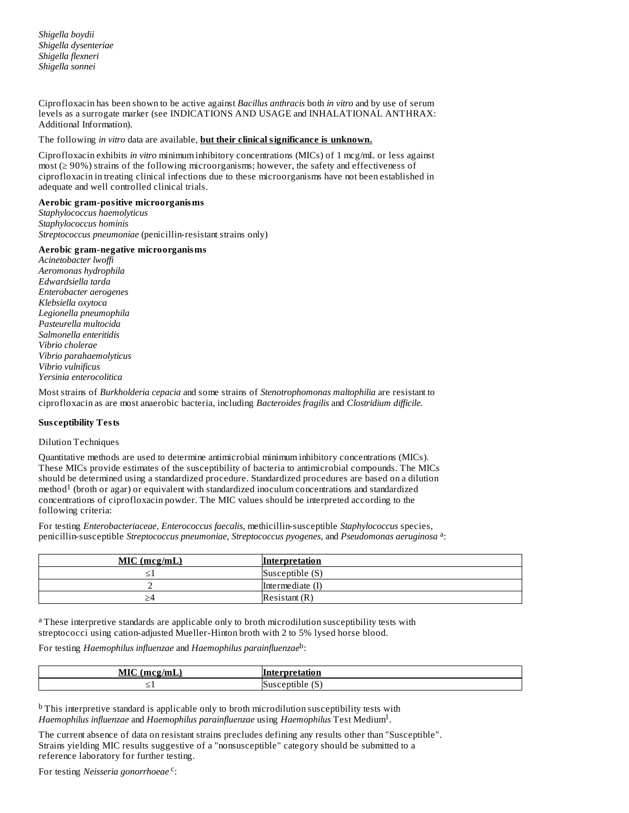*Shigella boydii Shigella dysenteriae Shigella flexneri Shigella sonnei*

Ciprofloxacin has been shown to be active against *Bacillus anthracis* both *in vitro* and by use of serum levels as a surrogate marker (see INDICATIONS AND USAGE and INHALATIONAL ANTHRAX: Additional Information).

The following *in vitro* data are available, **but their clinical significance is unknown.**

Ciprofloxacin exhibits *in vitro* minimum inhibitory concentrations (MICs) of 1 mcg/mL or less against most (≥ 90%) strains of the following microorganisms; however, the safety and effectiveness of ciprofloxacin in treating clinical infections due to these microorganisms have not been established in adequate and well controlled clinical trials.

## **Aerobic gram-positive microorganisms**

*Staphylococcus haemolyticus Staphylococcus hominis Streptococcus pneumoniae* (penicillin-resistant strains only)

## **Aerobic gram-negative microorganisms**

*Acinetobacter lwoffi Aeromonas hydrophila Edwardsiella tarda Enterobacter aerogenes Klebsiella oxytoca Legionella pneumophila Pasteurella multocida Salmonella enteritidis Vibrio cholerae Vibrio parahaemolyticus Vibrio vulnificus Yersinia enterocolitica*

Most strains of *Burkholderia cepacia* and some strains of *Stenotrophomonas maltophilia* are resistant to ciprofloxacin as are most anaerobic bacteria, including *Bacteroides fragilis* and *Clostridium difficile*.

### **Sus ceptibility Tests**

### Dilution Techniques

Quantitative methods are used to determine antimicrobial minimum inhibitory concentrations (MICs). These MICs provide estimates of the susceptibility of bacteria to antimicrobial compounds. The MICs should be determined using a standardized procedure. Standardized procedures are based on a dilution  $m$ ethod<sup>1</sup> (broth or agar) or equivalent with standardized inoculum concentrations and standardized concentrations of ciprofloxacin powder. The MIC values should be interpreted according to the following criteria:

For testing *Enterobacteriaceae, Enterococcus faecalis*, methicillin-susceptible *Staphylococcus* species, penicillin-susceptible *Streptococcus pneumoniae*, *Streptococcus pyogenes,* and *Pseudomonas aeruginosa* : a

| MIC (mcg/mL) | Interpretation   |
|--------------|------------------|
|              | Susceptible (S)  |
|              | Intermediate (I) |
|              | Resistant (R)    |

<sup>a</sup> These interpretive standards are applicable only to broth microdilution susceptibility tests with streptococci using cation-adjusted Mueller-Hinton broth with 2 to 5% lysed horse blood.

For testing *Haemophilus influenzae* and *Haemophilus parainfluenzae<sup>b</sup>:* 

| <b>MIC</b><br>$\sim$ |                            |
|----------------------|----------------------------|
| $-1$                 | $\tilde{\phantom{a}}$<br>- |

 $^{\rm b}$  This interpretive standard is applicable only to broth microdilution susceptibility tests with *Haemophilus influenzae* and *Haemophilus parainfluenzae* using *Haemophilus* Test Medium . 1

The current absence of data on resistant strains precludes defining any results other than "Susceptible". Strains yielding MIC results suggestive of a "nonsusceptible" category should be submitted to a reference laboratory for further testing.

For testing *Neisseria gonorrhoeae*<sup>c</sup>: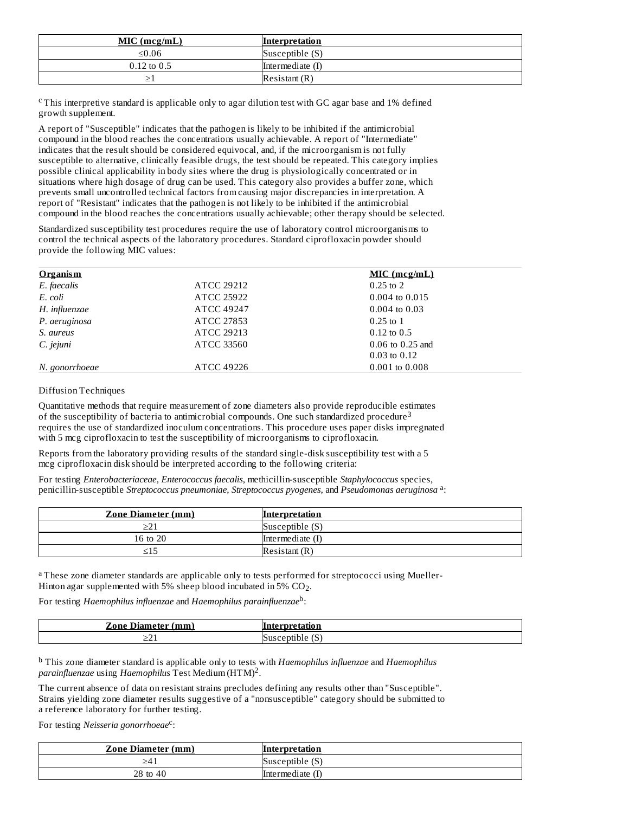| $MIC$ (mcg/mL)         | Interpretation   |
|------------------------|------------------|
| ≤ $0.06$               | Susceptible (S)  |
| $0.12 \text{ to } 0.5$ | Intermediate (I) |
|                        | Resistant(R)     |

 $\rm c$  This interpretive standard is applicable only to agar dilution test with GC agar base and 1% defined growth supplement.

A report of "Susceptible" indicates that the pathogen is likely to be inhibited if the antimicrobial compound in the blood reaches the concentrations usually achievable. A report of "Intermediate" indicates that the result should be considered equivocal, and, if the microorganism is not fully susceptible to alternative, clinically feasible drugs, the test should be repeated. This category implies possible clinical applicability in body sites where the drug is physiologically concentrated or in situations where high dosage of drug can be used. This category also provides a buffer zone, which prevents small uncontrolled technical factors from causing major discrepancies in interpretation. A report of "Resistant" indicates that the pathogen is not likely to be inhibited if the antimicrobial compound in the blood reaches the concentrations usually achievable; other therapy should be selected.

Standardized susceptibility test procedures require the use of laboratory control microorganisms to control the technical aspects of the laboratory procedures. Standard ciprofloxacin powder should provide the following MIC values:

| <b>Organism</b> |                   | MIC (mcg/mL)         |
|-----------------|-------------------|----------------------|
| E. faecalis     | ATCC 29212        | $0.25 \text{ to } 2$ |
| E. coli         | ATCC 25922        | $0.004$ to $0.015$   |
| H. influenzae   | <b>ATCC 49247</b> | $0.004$ to $0.03$    |
| P. aeruginosa   | ATCC 27853        | $0.25 \text{ to } 1$ |
| S. aureus       | ATCC 29213        | $0.12$ to $0.5$      |
| C. jejuni       | ATCC 33560        | $0.06$ to 0.25 and   |
|                 |                   | $0.03$ to $0.12$     |
| N. gonorrhoeae  | ATCC 49226        | 0.001 to 0.008       |

# Diffusion Techniques

Quantitative methods that require measurement of zone diameters also provide reproducible estimates of the susceptibility of bacteria to antimicrobial compounds. One such standardized procedure<sup>3</sup> requires the use of standardized inoculum concentrations. This procedure uses paper disks impregnated with 5 mcg ciprofloxacin to test the susceptibility of microorganisms to ciprofloxacin.

Reports from the laboratory providing results of the standard single-disk susceptibility test with a 5 mcg ciprofloxacin disk should be interpreted according to the following criteria:

For testing *Enterobacteriaceae, Enterococcus faecalis*, methicillin-susceptible *Staphylococcus* species, penicillin-susceptible *Streptococcus pneumoniae*, *Streptococcus pyogenes,* and *Pseudomonas aeruginosa* : a

| <b>Zone Diameter (mm)</b> | Interpretation   |
|---------------------------|------------------|
|                           | Susceptible (S)  |
| 16 to 20                  | Intermediate (I) |
|                           | Resistant(R)     |

<sup>a</sup> These zone diameter standards are applicable only to tests performed for streptococci using Mueller-Hinton agar supplemented with 5% sheep blood incubated in 5%  $CO<sub>2</sub>$ .

For testing *Haemophilus influenzae* and *Haemophilus parainfluenzae<sup>b</sup>:* 

| -<br>Zone<br>(mm)<br>Diameter | tauv 11 |
|-------------------------------|---------|
| ___                           |         |

This zone diameter standard is applicable only to tests with *Haemophilus influenzae* and *Haemophilus* b parainfluenzae using *Haemophilus* Test Medium (HTM)<sup>2</sup>.

The current absence of data on resistant strains precludes defining any results other than "Susceptible". Strains yielding zone diameter results suggestive of a "nonsusceptible" category should be submitted to a reference laboratory for further testing.

For testing *Neisseria gonorrhoeae<sup>c</sup>:* 

| <b>Zone Diameter (mm)</b> | Interpretation  |
|---------------------------|-----------------|
| ≥41                       | Susceptible (S) |
| 28 to 40                  | Intermediate    |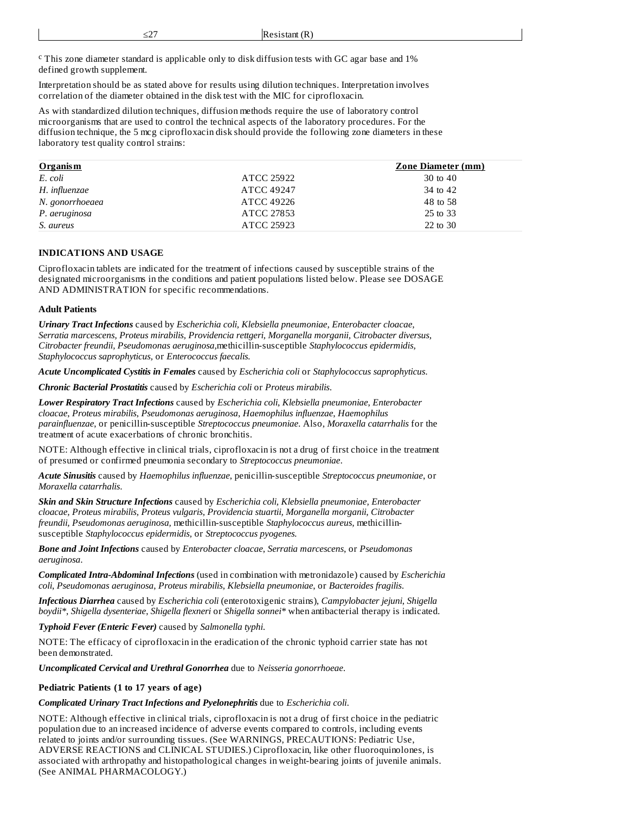<sup>c</sup> This zone diameter standard is applicable only to disk diffusion tests with GC agar base and 1% defined growth supplement.

Interpretation should be as stated above for results using dilution techniques. Interpretation involves correlation of the diameter obtained in the disk test with the MIC for ciprofloxacin.

As with standardized dilution techniques, diffusion methods require the use of laboratory control microorganisms that are used to control the technical aspects of the laboratory procedures. For the diffusion technique, the 5 mcg ciprofloxacin disk should provide the following zone diameters in these laboratory test quality control strains:

| <b>Organism</b> |            | <b>Zone Diameter (mm)</b> |
|-----------------|------------|---------------------------|
| E. coli         | ATCC 25922 | 30 to 40                  |
| H. influenzae   | ATCC 49247 | 34 to 42                  |
| N. gonorrhoeaea | ATCC 49226 | 48 to 58                  |
| P. aeruginosa   | ATCC 27853 | 25 to 33                  |
| S. aureus       | ATCC 25923 | 22 to 30                  |

# **INDICATIONS AND USAGE**

Ciprofloxacin tablets are indicated for the treatment of infections caused by susceptible strains of the designated microorganisms in the conditions and patient populations listed below. Please see DOSAGE AND ADMINISTRATION for specific recommendations.

## **Adult Patients**

*Urinary Tract Infections* caused by *Escherichia coli, Klebsiella pneumoniae, Enterobacter cloacae, Serratia marcescens, Proteus mirabilis, Providencia rettgeri, Morganella morganii, Citrobacter diversus, Citrobacter freundii, Pseudomonas aeruginosa,*methicillin-susceptible *Staphylococcus epidermidis, Staphylococcus saprophyticus,* or *Enterococcus faecalis.*

*Acute Uncomplicated Cystitis in Females* caused by *Escherichia coli* or *Staphylococcus saprophyticus*.

*Chronic Bacterial Prostatitis* caused by *Escherichia coli* or *Proteus mirabilis*.

*Lower Respiratory Tract Infections* caused by *Escherichia coli*, *Klebsiella pneumoniae*, *Enterobacter cloacae*, *Proteus mirabilis*, *Pseudomonas aeruginosa*, *Haemophilus influenzae*, *Haemophilus parainfluenzae*, or penicillin-susceptible *Streptococcus pneumoniae*. Also, *Moraxella catarrhalis* for the treatment of acute exacerbations of chronic bronchitis.

NOTE: Although effective in clinical trials, ciprofloxacin is not a drug of first choice in the treatment of presumed or confirmed pneumonia secondary to *Streptococcus pneumoniae*.

*Acute Sinusitis* caused by *Haemophilus influenzae*, penicillin-susceptible *Streptococcus pneumoniae*, or *Moraxella catarrhalis*.

*Skin and Skin Structure Infections* caused by *Escherichia coli, Klebsiella pneumoniae, Enterobacter cloacae, Proteus mirabilis, Proteus vulgaris, Providencia stuartii, Morganella morganii, Citrobacter freundii, Pseudomonas aeruginosa,* methicillin-susceptible *Staphylococcus aureus,* methicillinsusceptible *Staphylococcus epidermidis,* or *Streptococcus pyogenes.*

*Bone and Joint Infections* caused by *Enterobacter cloacae*, *Serratia marcescens*, or *Pseudomonas aeruginosa*.

*Complicated Intra-Abdominal Infections* (used in combination with metronidazole) caused by *Escherichia coli*, *Pseudomonas aeruginosa*, *Proteus mirabilis*, *Klebsiella pneumoniae*, or *Bacteroides fragilis*.

*Infectious Diarrhea* caused by *Escherichia coli* (enterotoxigenic strains), *Campylobacter jejuni*, *Shigella boydii\**, *Shigella dysenteriae*, *Shigella flexneri* or *Shigella sonnei\** when antibacterial therapy is indicated.

*Typhoid Fever (Enteric Fever)* caused by *Salmonella typhi*.

NOTE: The efficacy of ciprofloxacin in the eradication of the chronic typhoid carrier state has not been demonstrated.

*Uncomplicated Cervical and Urethral Gonorrhea* due to *Neisseria gonorrhoeae*.

## **Pediatric Patients (1 to 17 years of age)**

*Complicated Urinary Tract Infections and Pyelonephritis* due to *Escherichia coli*.

NOTE: Although effective in clinical trials, ciprofloxacin is not a drug of first choice in the pediatric population due to an increased incidence of adverse events compared to controls, including events related to joints and/or surrounding tissues. (See WARNINGS, PRECAUTIONS: Pediatric Use, ADVERSE REACTIONS and CLINICAL STUDIES.) Ciprofloxacin, like other fluoroquinolones, is associated with arthropathy and histopathological changes in weight-bearing joints of juvenile animals. (See ANIMAL PHARMACOLOGY.)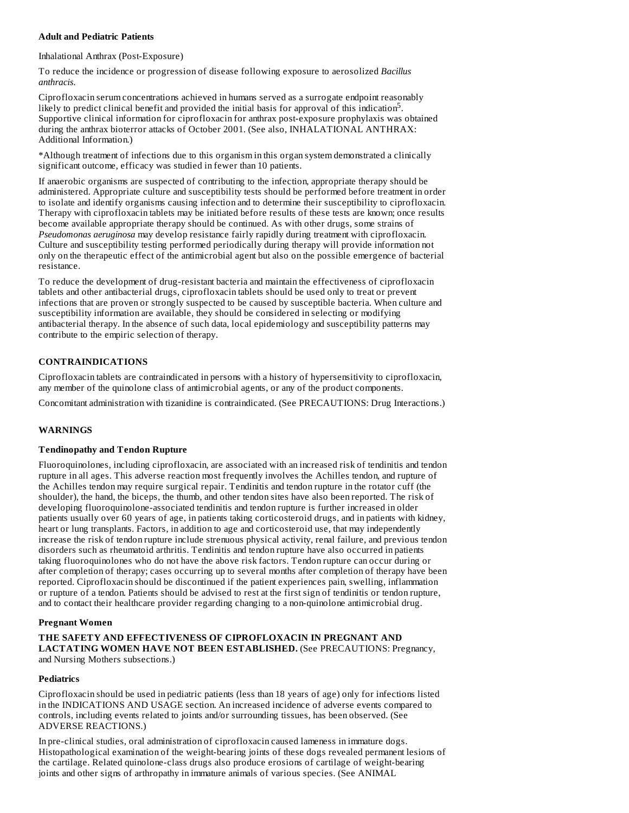## **Adult and Pediatric Patients**

Inhalational Anthrax (Post-Exposure)

To reduce the incidence or progression of disease following exposure to aerosolized *Bacillus anthracis*.

Ciprofloxacin serum concentrations achieved in humans served as a surrogate endpoint reasonably likely to predict clinical benefit and provided the initial basis for approval of this indication<sup>5</sup>. Supportive clinical information for ciprofloxacin for anthrax post-exposure prophylaxis was obtained during the anthrax bioterror attacks of October 2001. (See also, INHALATIONAL ANTHRAX: Additional Information.)

\*Although treatment of infections due to this organism in this organ system demonstrated a clinically significant outcome, efficacy was studied in fewer than 10 patients.

If anaerobic organisms are suspected of contributing to the infection, appropriate therapy should be administered. Appropriate culture and susceptibility tests should be performed before treatment in order to isolate and identify organisms causing infection and to determine their susceptibility to ciprofloxacin. Therapy with ciprofloxacin tablets may be initiated before results of these tests are known; once results become available appropriate therapy should be continued. As with other drugs, some strains of *Pseudomonas aeruginosa* may develop resistance fairly rapidly during treatment with ciprofloxacin. Culture and susceptibility testing performed periodically during therapy will provide information not only on the therapeutic effect of the antimicrobial agent but also on the possible emergence of bacterial resistance.

To reduce the development of drug-resistant bacteria and maintain the effectiveness of ciprofloxacin tablets and other antibacterial drugs, ciprofloxacin tablets should be used only to treat or prevent infections that are proven or strongly suspected to be caused by susceptible bacteria. When culture and susceptibility information are available, they should be considered in selecting or modifying antibacterial therapy. In the absence of such data, local epidemiology and susceptibility patterns may contribute to the empiric selection of therapy.

# **CONTRAINDICATIONS**

Ciprofloxacin tablets are contraindicated in persons with a history of hypersensitivity to ciprofloxacin, any member of the quinolone class of antimicrobial agents, or any of the product components.

Concomitant administration with tizanidine is contraindicated. (See PRECAUTIONS: Drug Interactions.)

## **WARNINGS**

## **Tendinopathy and Tendon Rupture**

Fluoroquinolones, including ciprofloxacin, are associated with an increased risk of tendinitis and tendon rupture in all ages. This adverse reaction most frequently involves the Achilles tendon, and rupture of the Achilles tendon may require surgical repair. Tendinitis and tendon rupture in the rotator cuff (the shoulder), the hand, the biceps, the thumb, and other tendon sites have also been reported. The risk of developing fluoroquinolone-associated tendinitis and tendon rupture is further increased in older patients usually over 60 years of age, in patients taking corticosteroid drugs, and in patients with kidney, heart or lung transplants. Factors, in addition to age and corticosteroid use, that may independently increase the risk of tendon rupture include strenuous physical activity, renal failure, and previous tendon disorders such as rheumatoid arthritis. Tendinitis and tendon rupture have also occurred in patients taking fluoroquinolones who do not have the above risk factors. Tendon rupture can occur during or after completion of therapy; cases occurring up to several months after completion of therapy have been reported. Ciprofloxacin should be discontinued if the patient experiences pain, swelling, inflammation or rupture of a tendon. Patients should be advised to rest at the first sign of tendinitis or tendon rupture, and to contact their healthcare provider regarding changing to a non-quinolone antimicrobial drug.

## **Pregnant Women**

### **THE SAFETY AND EFFECTIVENESS OF CIPROFLOXACIN IN PREGNANT AND LACTATING WOMEN HAVE NOT BEEN ESTABLISHED.** (See PRECAUTIONS: Pregnancy, and Nursing Mothers subsections.)

## **Pediatrics**

Ciprofloxacin should be used in pediatric patients (less than 18 years of age) only for infections listed in the INDICATIONS AND USAGE section. An increased incidence of adverse events compared to controls, including events related to joints and/or surrounding tissues, has been observed. (See ADVERSE REACTIONS.)

In pre-clinical studies, oral administration of ciprofloxacin caused lameness in immature dogs. Histopathological examination of the weight-bearing joints of these dogs revealed permanent lesions of the cartilage. Related quinolone-class drugs also produce erosions of cartilage of weight-bearing joints and other signs of arthropathy in immature animals of various species. (See ANIMAL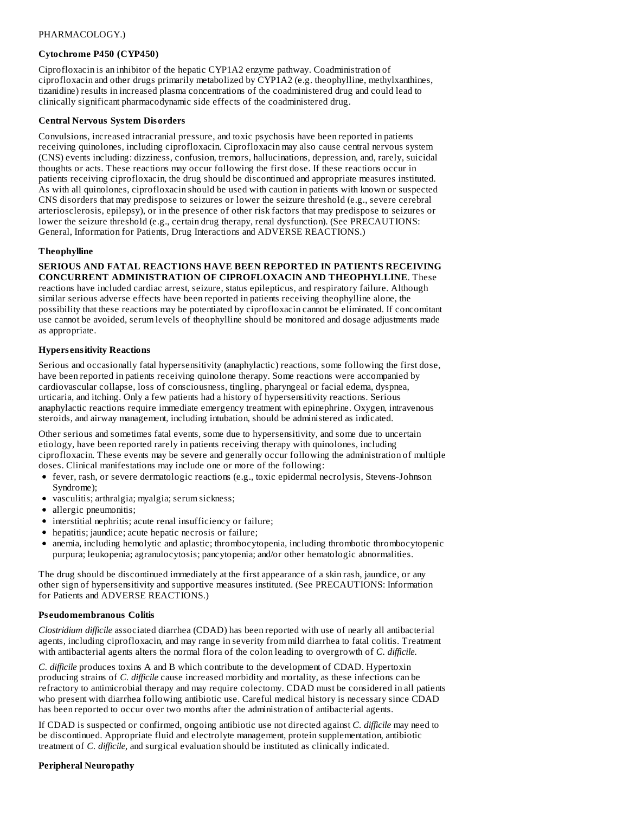# PHARMACOLOGY.)

## **Cytochrome P450 (CYP450)**

Ciprofloxacin is an inhibitor of the hepatic CYP1A2 enzyme pathway. Coadministration of ciprofloxacin and other drugs primarily metabolized by CYP1A2 (e.g. theophylline, methylxanthines, tizanidine) results in increased plasma concentrations of the coadministered drug and could lead to clinically significant pharmacodynamic side effects of the coadministered drug.

### **Central Nervous System Disorders**

Convulsions, increased intracranial pressure, and toxic psychosis have been reported in patients receiving quinolones, including ciprofloxacin. Ciprofloxacin may also cause central nervous system (CNS) events including: dizziness, confusion, tremors, hallucinations, depression, and, rarely, suicidal thoughts or acts. These reactions may occur following the first dose. If these reactions occur in patients receiving ciprofloxacin, the drug should be discontinued and appropriate measures instituted. As with all quinolones, ciprofloxacin should be used with caution in patients with known or suspected CNS disorders that may predispose to seizures or lower the seizure threshold (e.g., severe cerebral arteriosclerosis, epilepsy), or in the presence of other risk factors that may predispose to seizures or lower the seizure threshold (e.g., certain drug therapy, renal dysfunction). (See PRECAUTIONS: General, Information for Patients, Drug Interactions and ADVERSE REACTIONS.)

## **Theophylline**

### **SERIOUS AND FATAL REACTIONS HAVE BEEN REPORTED IN PATIENTS RECEIVING CONCURRENT ADMINISTRATION OF CIPROFLOXACIN AND THEOPHYLLINE**. These

reactions have included cardiac arrest, seizure, status epilepticus, and respiratory failure. Although similar serious adverse effects have been reported in patients receiving theophylline alone, the possibility that these reactions may be potentiated by ciprofloxacin cannot be eliminated. If concomitant use cannot be avoided, serum levels of theophylline should be monitored and dosage adjustments made as appropriate.

## **Hypers ensitivity Reactions**

Serious and occasionally fatal hypersensitivity (anaphylactic) reactions, some following the first dose, have been reported in patients receiving quinolone therapy. Some reactions were accompanied by cardiovascular collapse, loss of consciousness, tingling, pharyngeal or facial edema, dyspnea, urticaria, and itching. Only a few patients had a history of hypersensitivity reactions. Serious anaphylactic reactions require immediate emergency treatment with epinephrine. Oxygen, intravenous steroids, and airway management, including intubation, should be administered as indicated.

Other serious and sometimes fatal events, some due to hypersensitivity, and some due to uncertain etiology, have been reported rarely in patients receiving therapy with quinolones, including ciprofloxacin. These events may be severe and generally occur following the administration of multiple doses. Clinical manifestations may include one or more of the following:

- fever, rash, or severe dermatologic reactions (e.g., toxic epidermal necrolysis, Stevens-Johnson Syndrome);
- vasculitis; arthralgia; myalgia; serum sickness;
- allergic pneumonitis;
- interstitial nephritis; acute renal insufficiency or failure;
- hepatitis; jaundice; acute hepatic necrosis or failure;
- anemia, including hemolytic and aplastic; thrombocytopenia, including thrombotic thrombocytopenic purpura; leukopenia; agranulocytosis; pancytopenia; and/or other hematologic abnormalities.

The drug should be discontinued immediately at the first appearance of a skin rash, jaundice, or any other sign of hypersensitivity and supportive measures instituted. (See PRECAUTIONS: Information for Patients and ADVERSE REACTIONS.)

## **Ps eudomembranous Colitis**

*Clostridium difficile* associated diarrhea (CDAD) has been reported with use of nearly all antibacterial agents, including ciprofloxacin, and may range in severity from mild diarrhea to fatal colitis. Treatment with antibacterial agents alters the normal flora of the colon leading to overgrowth of *C. difficile.*

*C. difficile* produces toxins A and B which contribute to the development of CDAD. Hypertoxin producing strains of *C. difficile* cause increased morbidity and mortality, as these infections can be refractory to antimicrobial therapy and may require colectomy. CDAD must be considered in all patients who present with diarrhea following antibiotic use. Careful medical history is necessary since CDAD has been reported to occur over two months after the administration of antibacterial agents.

If CDAD is suspected or confirmed, ongoing antibiotic use not directed against *C. difficile* may need to be discontinued. Appropriate fluid and electrolyte management, protein supplementation, antibiotic treatment of *C. difficile*, and surgical evaluation should be instituted as clinically indicated.

## **Peripheral Neuropathy**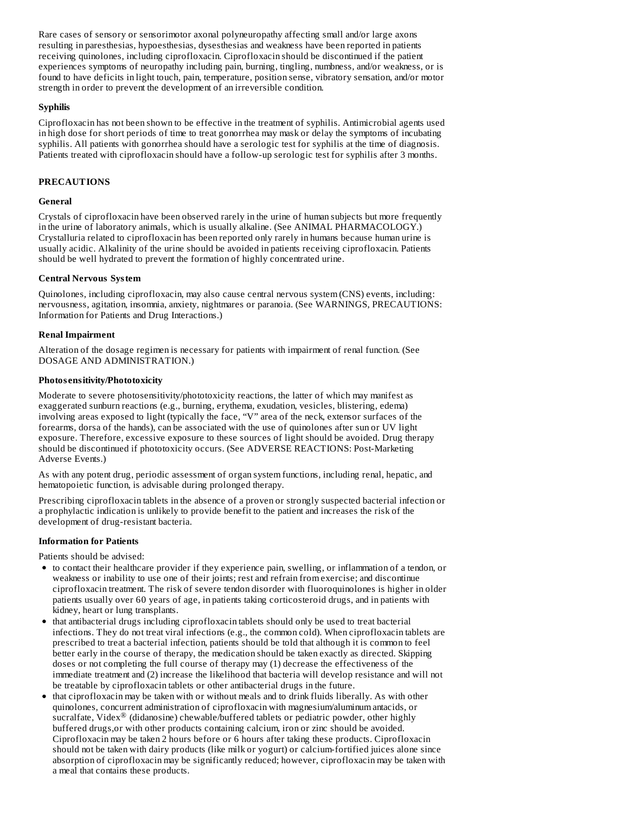Rare cases of sensory or sensorimotor axonal polyneuropathy affecting small and/or large axons resulting in paresthesias, hypoesthesias, dysesthesias and weakness have been reported in patients receiving quinolones, including ciprofloxacin. Ciprofloxacin should be discontinued if the patient experiences symptoms of neuropathy including pain, burning, tingling, numbness, and/or weakness, or is found to have deficits in light touch, pain, temperature, position sense, vibratory sensation, and/or motor strength in order to prevent the development of an irreversible condition.

## **Syphilis**

Ciprofloxacin has not been shown to be effective in the treatment of syphilis. Antimicrobial agents used in high dose for short periods of time to treat gonorrhea may mask or delay the symptoms of incubating syphilis. All patients with gonorrhea should have a serologic test for syphilis at the time of diagnosis. Patients treated with ciprofloxacin should have a follow-up serologic test for syphilis after 3 months.

# **PRECAUTIONS**

## **General**

Crystals of ciprofloxacin have been observed rarely in the urine of human subjects but more frequently in the urine of laboratory animals, which is usually alkaline. (See ANIMAL PHARMACOLOGY.) Crystalluria related to ciprofloxacin has been reported only rarely in humans because human urine is usually acidic. Alkalinity of the urine should be avoided in patients receiving ciprofloxacin. Patients should be well hydrated to prevent the formation of highly concentrated urine.

# **Central Nervous System**

Quinolones, including ciprofloxacin, may also cause central nervous system (CNS) events, including: nervousness, agitation, insomnia, anxiety, nightmares or paranoia. (See WARNINGS, PRECAUTIONS: Information for Patients and Drug Interactions.)

## **Renal Impairment**

Alteration of the dosage regimen is necessary for patients with impairment of renal function. (See DOSAGE AND ADMINISTRATION.)

# **Photos ensitivity/Phototoxicity**

Moderate to severe photosensitivity/phototoxicity reactions, the latter of which may manifest as exaggerated sunburn reactions (e.g., burning, erythema, exudation, vesicles, blistering, edema) involving areas exposed to light (typically the face, "V" area of the neck, extensor surfaces of the forearms, dorsa of the hands), can be associated with the use of quinolones after sun or UV light exposure. Therefore, excessive exposure to these sources of light should be avoided. Drug therapy should be discontinued if phototoxicity occurs. (See ADVERSE REACTIONS: Post-Marketing Adverse Events.)

As with any potent drug, periodic assessment of organ system functions, including renal, hepatic, and hematopoietic function, is advisable during prolonged therapy.

Prescribing ciprofloxacin tablets in the absence of a proven or strongly suspected bacterial infection or a prophylactic indication is unlikely to provide benefit to the patient and increases the risk of the development of drug-resistant bacteria.

# **Information for Patients**

Patients should be advised:

- to contact their healthcare provider if they experience pain, swelling, or inflammation of a tendon, or weakness or inability to use one of their joints; rest and refrain from exercise; and discontinue ciprofloxacin treatment. The risk of severe tendon disorder with fluoroquinolones is higher in older patients usually over 60 years of age, in patients taking corticosteroid drugs, and in patients with kidney, heart or lung transplants.
- that antibacterial drugs including ciprofloxacin tablets should only be used to treat bacterial infections. They do not treat viral infections (e.g., the common cold). When ciprofloxacin tablets are prescribed to treat a bacterial infection, patients should be told that although it is common to feel better early in the course of therapy, the medication should be taken exactly as directed. Skipping doses or not completing the full course of therapy may (1) decrease the effectiveness of the immediate treatment and (2) increase the likelihood that bacteria will develop resistance and will not be treatable by ciprofloxacin tablets or other antibacterial drugs in the future.
- that ciprofloxacin may be taken with or without meals and to drink fluids liberally. As with other quinolones, concurrent administration of ciprofloxacin with magnesium/aluminum antacids, or  $\frac{1}{2}$  sucralfate, Videx<sup>®</sup> (didanosine) chewable/buffered tablets or pediatric powder, other highly buffered drugs,or with other products containing calcium, iron or zinc should be avoided. Ciprofloxacin may be taken 2 hours before or 6 hours after taking these products. Ciprofloxacin should not be taken with dairy products (like milk or yogurt) or calcium-fortified juices alone since absorption of ciprofloxacin may be significantly reduced; however, ciprofloxacin may be taken with a meal that contains these products.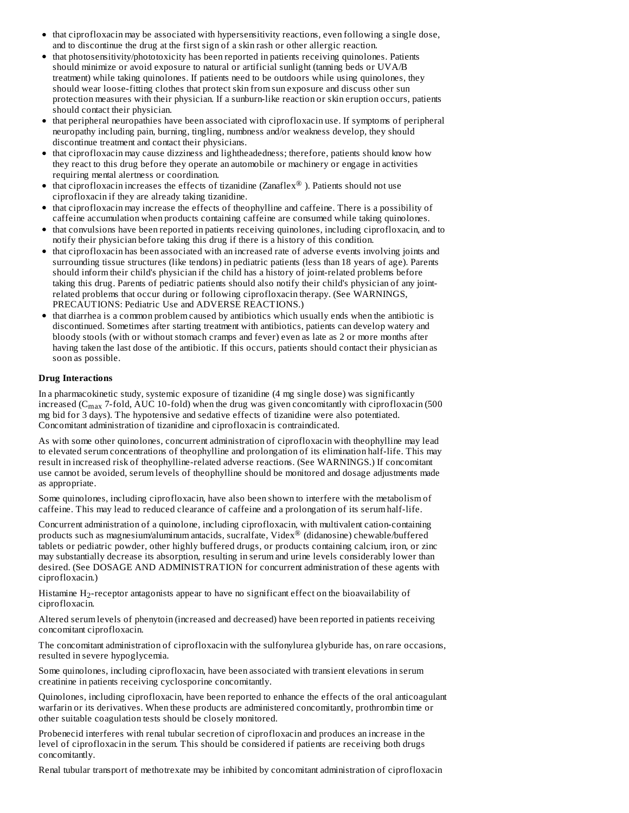- that ciprofloxacin may be associated with hypersensitivity reactions, even following a single dose, and to discontinue the drug at the first sign of a skin rash or other allergic reaction.
- that photosensitivity/phototoxicity has been reported in patients receiving quinolones. Patients should minimize or avoid exposure to natural or artificial sunlight (tanning beds or UVA/B treatment) while taking quinolones. If patients need to be outdoors while using quinolones, they should wear loose-fitting clothes that protect skin from sun exposure and discuss other sun protection measures with their physician. If a sunburn-like reaction or skin eruption occurs, patients should contact their physician.
- that peripheral neuropathies have been associated with ciprofloxacin use. If symptoms of peripheral neuropathy including pain, burning, tingling, numbness and/or weakness develop, they should discontinue treatment and contact their physicians.
- that ciprofloxacin may cause dizziness and lightheadedness; therefore, patients should know how they react to this drug before they operate an automobile or machinery or engage in activities requiring mental alertness or coordination.
- that ciprofloxacin increases the effects of tizanidine (Zanaflex $^{\circledR}$  ). Patients should not use ciprofloxacin if they are already taking tizanidine.
- that ciprofloxacin may increase the effects of theophylline and caffeine. There is a possibility of caffeine accumulation when products containing caffeine are consumed while taking quinolones.
- that convulsions have been reported in patients receiving quinolones, including ciprofloxacin, and to notify their physician before taking this drug if there is a history of this condition.
- that ciprofloxacin has been associated with an increased rate of adverse events involving joints and surrounding tissue structures (like tendons) in pediatric patients (less than 18 years of age). Parents should inform their child's physician if the child has a history of joint-related problems before taking this drug. Parents of pediatric patients should also notify their child's physician of any jointrelated problems that occur during or following ciprofloxacin therapy. (See WARNINGS, PRECAUTIONS: Pediatric Use and ADVERSE REACTIONS.)
- that diarrhea is a common problem caused by antibiotics which usually ends when the antibiotic is discontinued. Sometimes after starting treatment with antibiotics, patients can develop watery and bloody stools (with or without stomach cramps and fever) even as late as 2 or more months after having taken the last dose of the antibiotic. If this occurs, patients should contact their physician as soon as possible.

## **Drug Interactions**

In a pharmacokinetic study, systemic exposure of tizanidine (4 mg single dose) was significantly increased (C $_{\rm max}$  7-fold, AUC 10-fold) when the drug was given concomitantly with ciprofloxacin (500  $^{\circ}$ mg bid for 3 days). The hypotensive and sedative effects of tizanidine were also potentiated. Concomitant administration of tizanidine and ciprofloxacin is contraindicated.

As with some other quinolones, concurrent administration of ciprofloxacin with theophylline may lead to elevated serum concentrations of theophylline and prolongation of its elimination half-life. This may result in increased risk of theophylline-related adverse reactions. (See WARNINGS.) If concomitant use cannot be avoided, serum levels of theophylline should be monitored and dosage adjustments made as appropriate.

Some quinolones, including ciprofloxacin, have also been shown to interfere with the metabolism of caffeine. This may lead to reduced clearance of caffeine and a prolongation of its serum half-life.

Concurrent administration of a quinolone, including ciprofloxacin, with multivalent cation-containing products such as magnesium/aluminum antacids, sucralfate, Videx® (didanosine) chewable/buffered tablets or pediatric powder, other highly buffered drugs, or products containing calcium, iron, or zinc may substantially decrease its absorption, resulting in serum and urine levels considerably lower than desired. (See DOSAGE AND ADMINISTRATION for concurrent administration of these agents with ciprofloxacin.)

Histamine  $\rm H_2$ -receptor antagonists appear to have no significant effect on the bioavailability of ciprofloxacin.

Altered serum levels of phenytoin (increased and decreased) have been reported in patients receiving concomitant ciprofloxacin.

The concomitant administration of ciprofloxacin with the sulfonylurea glyburide has, on rare occasions, resulted in severe hypoglycemia.

Some quinolones, including ciprofloxacin, have been associated with transient elevations in serum creatinine in patients receiving cyclosporine concomitantly.

Quinolones, including ciprofloxacin, have been reported to enhance the effects of the oral anticoagulant warfarin or its derivatives. When these products are administered concomitantly, prothrombin time or other suitable coagulation tests should be closely monitored.

Probenecid interferes with renal tubular secretion of ciprofloxacin and produces an increase in the level of ciprofloxacin in the serum. This should be considered if patients are receiving both drugs concomitantly.

Renal tubular transport of methotrexate may be inhibited by concomitant administration of ciprofloxacin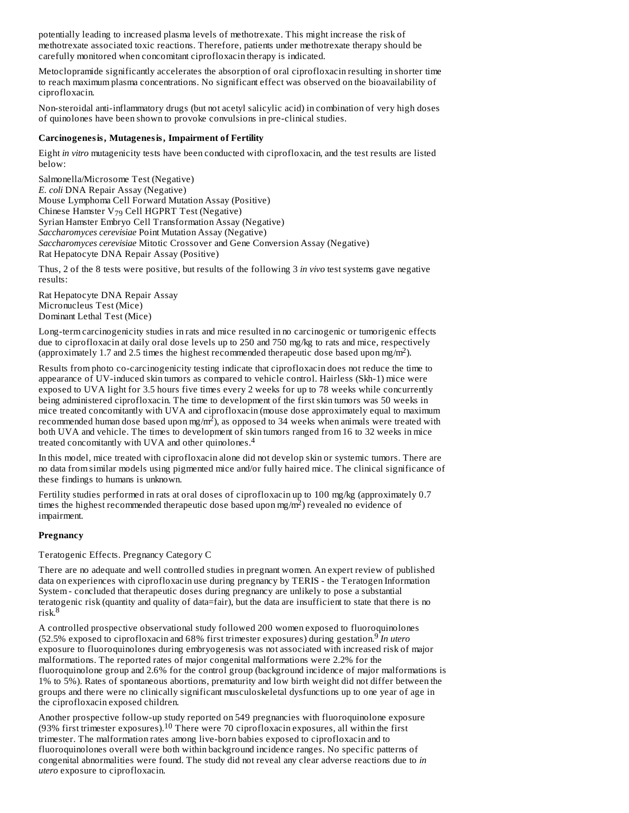potentially leading to increased plasma levels of methotrexate. This might increase the risk of methotrexate associated toxic reactions. Therefore, patients under methotrexate therapy should be carefully monitored when concomitant ciprofloxacin therapy is indicated.

Metoclopramide significantly accelerates the absorption of oral ciprofloxacin resulting in shorter time to reach maximum plasma concentrations. No significant effect was observed on the bioavailability of ciprofloxacin.

Non-steroidal anti-inflammatory drugs (but not acetyl salicylic acid) in combination of very high doses of quinolones have been shown to provoke convulsions in pre-clinical studies.

## **Carcinogenesis, Mutagenesis, Impairment of Fertility**

Eight *in vitro* mutagenicity tests have been conducted with ciprofloxacin, and the test results are listed below:

Salmonella/Microsome Test (Negative) *E. coli* DNA Repair Assay (Negative) Mouse Lymphoma Cell Forward Mutation Assay (Positive) Chinese Hamster  $V_{79}$  Cell HGPRT Test (Negative) Syrian Hamster Embryo Cell Transformation Assay (Negative) *Saccharomyces cerevisiae* Point Mutation Assay (Negative) *Saccharomyces cerevisiae* Mitotic Crossover and Gene Conversion Assay (Negative) Rat Hepatocyte DNA Repair Assay (Positive)

Thus, 2 of the 8 tests were positive, but results of the following 3 *in vivo* test systems gave negative results:

Rat Hepatocyte DNA Repair Assay Micronucleus Test (Mice) Dominant Lethal Test (Mice)

Long-term carcinogenicity studies in rats and mice resulted in no carcinogenic or tumorigenic effects due to ciprofloxacin at daily oral dose levels up to 250 and 750 mg/kg to rats and mice, respectively (approximately 1.7 and 2.5 times the highest recommended therapeutic dose based upon mg/m<sup>2</sup>).

Results from photo co-carcinogenicity testing indicate that ciprofloxacin does not reduce the time to appearance of UV-induced skin tumors as compared to vehicle control. Hairless (Skh-1) mice were exposed to UVA light for 3.5 hours five times every 2 weeks for up to 78 weeks while concurrently being administered ciprofloxacin. The time to development of the first skin tumors was 50 weeks in mice treated concomitantly with UVA and ciprofloxacin (mouse dose approximately equal to maximum recommended human dose based upon mg/m $^2$ ), as opposed to 34 weeks when animals were treated with both UVA and vehicle. The times to development of skin tumors ranged from 16 to 32 weeks in mice treated concomitantly with UVA and other quinolones. 4

In this model, mice treated with ciprofloxacin alone did not develop skin or systemic tumors. There are no data from similar models using pigmented mice and/or fully haired mice. The clinical significance of these findings to humans is unknown.

Fertility studies performed in rats at oral doses of ciprofloxacin up to 100 mg/kg (approximately 0.7 times the highest recommended therapeutic dose based upon mg/m<sup>2</sup>) revealed no evidence of impairment.

# **Pregnancy**

Teratogenic Effects. Pregnancy Category C

There are no adequate and well controlled studies in pregnant women. An expert review of published data on experiences with ciprofloxacin use during pregnancy by TERIS - the Teratogen Information System - concluded that therapeutic doses during pregnancy are unlikely to pose a substantial teratogenic risk (quantity and quality of data=fair), but the data are insufficient to state that there is no risk. 8

A controlled prospective observational study followed 200 women exposed to fluoroquinolones (52.5% exposed to ciprofloxacin and 68% first trimester exposures) during gestation.<sup>9</sup> In utero exposure to fluoroquinolones during embryogenesis was not associated with increased risk of major malformations. The reported rates of major congenital malformations were 2.2% for the fluoroquinolone group and 2.6% for the control group (background incidence of major malformations is 1% to 5%). Rates of spontaneous abortions, prematurity and low birth weight did not differ between the groups and there were no clinically significant musculoskeletal dysfunctions up to one year of age in the ciprofloxacin exposed children.

Another prospective follow-up study reported on 549 pregnancies with fluoroquinolone exposure (93% first trimester exposures).<sup>10</sup> There were 70 ciprofloxacin exposures, all within the first trimester. The malformation rates among live-born babies exposed to ciprofloxacin and to fluoroquinolones overall were both within background incidence ranges. No specific patterns of congenital abnormalities were found. The study did not reveal any clear adverse reactions due to *in utero* exposure to ciprofloxacin.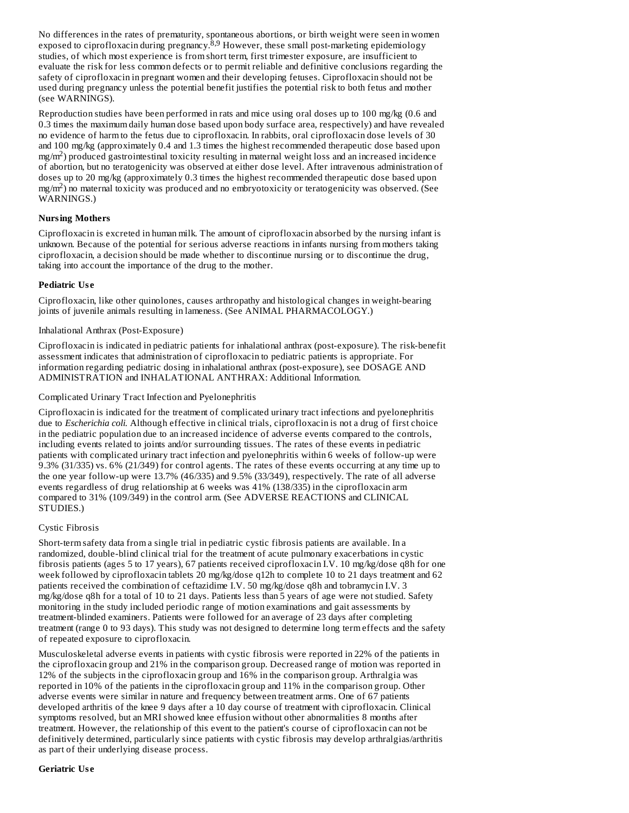No differences in the rates of prematurity, spontaneous abortions, or birth weight were seen in women exposed to ciprofloxacin during pregnancy.<sup>8,9</sup> However, these small post-marketing epidemiology studies, of which most experience is from short term, first trimester exposure, are insufficient to evaluate the risk for less common defects or to permit reliable and definitive conclusions regarding the safety of ciprofloxacin in pregnant women and their developing fetuses. Ciprofloxacin should not be used during pregnancy unless the potential benefit justifies the potential risk to both fetus and mother (see WARNINGS).

Reproduction studies have been performed in rats and mice using oral doses up to 100 mg/kg (0.6 and 0.3 times the maximum daily human dose based upon body surface area, respectively) and have revealed no evidence of harm to the fetus due to ciprofloxacin. In rabbits, oral ciprofloxacin dose levels of 30 and 100 mg/kg (approximately 0.4 and 1.3 times the highest recommended therapeutic dose based upon  $mg/m<sup>2</sup>$ ) produced gastrointestinal toxicity resulting in maternal weight loss and an increased incidence of abortion, but no teratogenicity was observed at either dose level. After intravenous administration of doses up to 20 mg/kg (approximately 0.3 times the highest recommended therapeutic dose based upon  $mg/m<sup>2</sup>$ ) no maternal toxicity was produced and no embryotoxicity or teratogenicity was observed. (See WARNINGS.)

# **Nursing Mothers**

Ciprofloxacin is excreted in human milk. The amount of ciprofloxacin absorbed by the nursing infant is unknown. Because of the potential for serious adverse reactions in infants nursing from mothers taking ciprofloxacin, a decision should be made whether to discontinue nursing or to discontinue the drug, taking into account the importance of the drug to the mother.

# **Pediatric Us e**

Ciprofloxacin, like other quinolones, causes arthropathy and histological changes in weight-bearing joints of juvenile animals resulting in lameness. (See ANIMAL PHARMACOLOGY.)

## Inhalational Anthrax (Post-Exposure)

Ciprofloxacin is indicated in pediatric patients for inhalational anthrax (post-exposure). The risk-benefit assessment indicates that administration of ciprofloxacin to pediatric patients is appropriate. For information regarding pediatric dosing in inhalational anthrax (post-exposure), see DOSAGE AND ADMINISTRATION and INHALATIONAL ANTHRAX: Additional Information.

## Complicated Urinary Tract Infection and Pyelonephritis

Ciprofloxacin is indicated for the treatment of complicated urinary tract infections and pyelonephritis due to *Escherichia coli.* Although effective in clinical trials, ciprofloxacin is not a drug of first choice in the pediatric population due to an increased incidence of adverse events compared to the controls, including events related to joints and/or surrounding tissues. The rates of these events in pediatric patients with complicated urinary tract infection and pyelonephritis within 6 weeks of follow-up were 9.3% (31/335) vs. 6% (21/349) for control agents. The rates of these events occurring at any time up to the one year follow-up were 13.7% (46/335) and 9.5% (33/349), respectively. The rate of all adverse events regardless of drug relationship at 6 weeks was 41% (138/335) in the ciprofloxacin arm compared to 31% (109/349) in the control arm. (See ADVERSE REACTIONS and CLINICAL STUDIES.)

## Cystic Fibrosis

Short-term safety data from a single trial in pediatric cystic fibrosis patients are available. In a randomized, double-blind clinical trial for the treatment of acute pulmonary exacerbations in cystic fibrosis patients (ages 5 to 17 years), 67 patients received ciprofloxacin I.V. 10 mg/kg/dose q8h for one week followed by ciprofloxacin tablets 20 mg/kg/dose q12h to complete 10 to 21 days treatment and 62 patients received the combination of ceftazidime I.V. 50 mg/kg/dose q8h and tobramycin I.V. 3 mg/kg/dose q8h for a total of 10 to 21 days. Patients less than 5 years of age were not studied. Safety monitoring in the study included periodic range of motion examinations and gait assessments by treatment-blinded examiners. Patients were followed for an average of 23 days after completing treatment (range 0 to 93 days). This study was not designed to determine long term effects and the safety of repeated exposure to ciprofloxacin.

Musculoskeletal adverse events in patients with cystic fibrosis were reported in 22% of the patients in the ciprofloxacin group and 21% in the comparison group. Decreased range of motion was reported in 12% of the subjects in the ciprofloxacin group and 16% in the comparison group. Arthralgia was reported in 10% of the patients in the ciprofloxacin group and 11% in the comparison group. Other adverse events were similar in nature and frequency between treatment arms. One of 67 patients developed arthritis of the knee 9 days after a 10 day course of treatment with ciprofloxacin. Clinical symptoms resolved, but an MRI showed knee effusion without other abnormalities 8 months after treatment. However, the relationship of this event to the patient's course of ciprofloxacin can not be definitively determined, particularly since patients with cystic fibrosis may develop arthralgias/arthritis as part of their underlying disease process.

### **Geriatric Us e**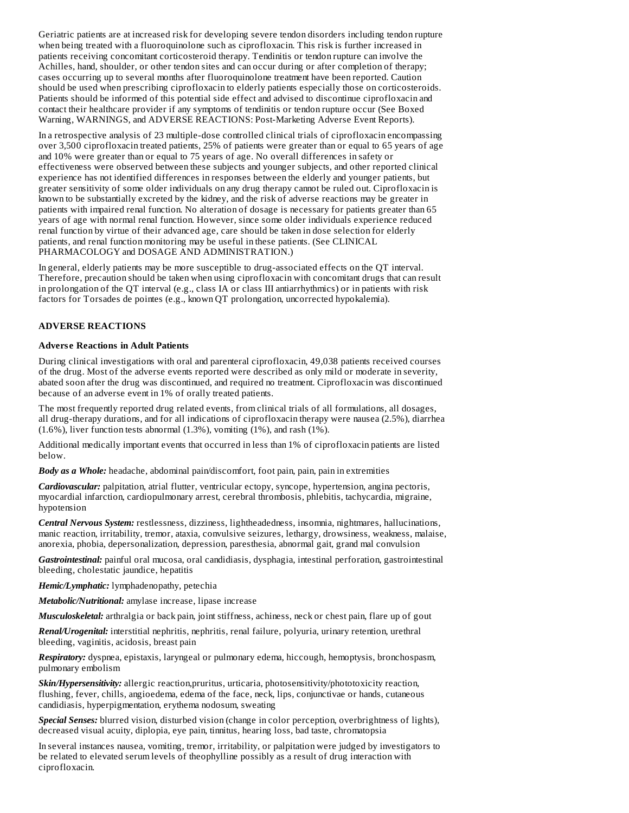Geriatric patients are at increased risk for developing severe tendon disorders including tendon rupture when being treated with a fluoroquinolone such as ciprofloxacin. This risk is further increased in patients receiving concomitant corticosteroid therapy. Tendinitis or tendon rupture can involve the Achilles, hand, shoulder, or other tendon sites and can occur during or after completion of therapy; cases occurring up to several months after fluoroquinolone treatment have been reported. Caution should be used when prescribing ciprofloxacin to elderly patients especially those on corticosteroids. Patients should be informed of this potential side effect and advised to discontinue ciprofloxacin and contact their healthcare provider if any symptoms of tendinitis or tendon rupture occur (See Boxed Warning, WARNINGS, and ADVERSE REACTIONS: Post-Marketing Adverse Event Reports).

In a retrospective analysis of 23 multiple-dose controlled clinical trials of ciprofloxacin encompassing over 3,500 ciprofloxacin treated patients, 25% of patients were greater than or equal to 65 years of age and 10% were greater than or equal to 75 years of age. No overall differences in safety or effectiveness were observed between these subjects and younger subjects, and other reported clinical experience has not identified differences in responses between the elderly and younger patients, but greater sensitivity of some older individuals on any drug therapy cannot be ruled out. Ciprofloxacin is known to be substantially excreted by the kidney, and the risk of adverse reactions may be greater in patients with impaired renal function. No alteration of dosage is necessary for patients greater than 65 years of age with normal renal function. However, since some older individuals experience reduced renal function by virtue of their advanced age, care should be taken in dose selection for elderly patients, and renal function monitoring may be useful in these patients. (See CLINICAL PHARMACOLOGY and DOSAGE AND ADMINISTRATION.)

In general, elderly patients may be more susceptible to drug-associated effects on the QT interval. Therefore, precaution should be taken when using ciprofloxacin with concomitant drugs that can result in prolongation of the QT interval (e.g., class IA or class III antiarrhythmics) or in patients with risk factors for Torsades de pointes (e.g., known QT prolongation, uncorrected hypokalemia).

## **ADVERSE REACTIONS**

### **Advers e Reactions in Adult Patients**

During clinical investigations with oral and parenteral ciprofloxacin, 49,038 patients received courses of the drug. Most of the adverse events reported were described as only mild or moderate in severity, abated soon after the drug was discontinued, and required no treatment. Ciprofloxacin was discontinued because of an adverse event in 1% of orally treated patients.

The most frequently reported drug related events, from clinical trials of all formulations, all dosages, all drug-therapy durations, and for all indications of ciprofloxacin therapy were nausea (2.5%), diarrhea (1.6%), liver function tests abnormal (1.3%), vomiting (1%), and rash (1%).

Additional medically important events that occurred in less than 1% of ciprofloxacin patients are listed below.

*Body as a Whole:* headache, abdominal pain/discomfort, foot pain, pain, pain in extremities

*Cardiovascular:* palpitation, atrial flutter, ventricular ectopy, syncope, hypertension, angina pectoris, myocardial infarction, cardiopulmonary arrest, cerebral thrombosis, phlebitis, tachycardia, migraine, hypotension

*Central Nervous System:* restlessness, dizziness, lightheadedness, insomnia, nightmares, hallucinations, manic reaction, irritability, tremor, ataxia, convulsive seizures, lethargy, drowsiness, weakness, malaise, anorexia, phobia, depersonalization, depression, paresthesia, abnormal gait, grand mal convulsion

*Gastrointestinal:* painful oral mucosa, oral candidiasis, dysphagia, intestinal perforation, gastrointestinal bleeding, cholestatic jaundice, hepatitis

*Hemic/Lymphatic:* lymphadenopathy, petechia

*Metabolic/Nutritional:* amylase increase, lipase increase

*Musculoskeletal:* arthralgia or back pain, joint stiffness, achiness, neck or chest pain, flare up of gout

*Renal/Urogenital:* interstitial nephritis, nephritis, renal failure, polyuria, urinary retention, urethral bleeding, vaginitis, acidosis, breast pain

*Respiratory:* dyspnea, epistaxis, laryngeal or pulmonary edema, hiccough, hemoptysis, bronchospasm, pulmonary embolism

*Skin/Hypersensitivity:* allergic reaction,pruritus, urticaria, photosensitivity/phototoxicity reaction, flushing, fever, chills, angioedema, edema of the face, neck, lips, conjunctivae or hands, cutaneous candidiasis, hyperpigmentation, erythema nodosum, sweating

*Special Senses:* blurred vision, disturbed vision (change in color perception, overbrightness of lights), decreased visual acuity, diplopia, eye pain, tinnitus, hearing loss, bad taste, chromatopsia

In several instances nausea, vomiting, tremor, irritability, or palpitation were judged by investigators to be related to elevated serum levels of theophylline possibly as a result of drug interaction with ciprofloxacin.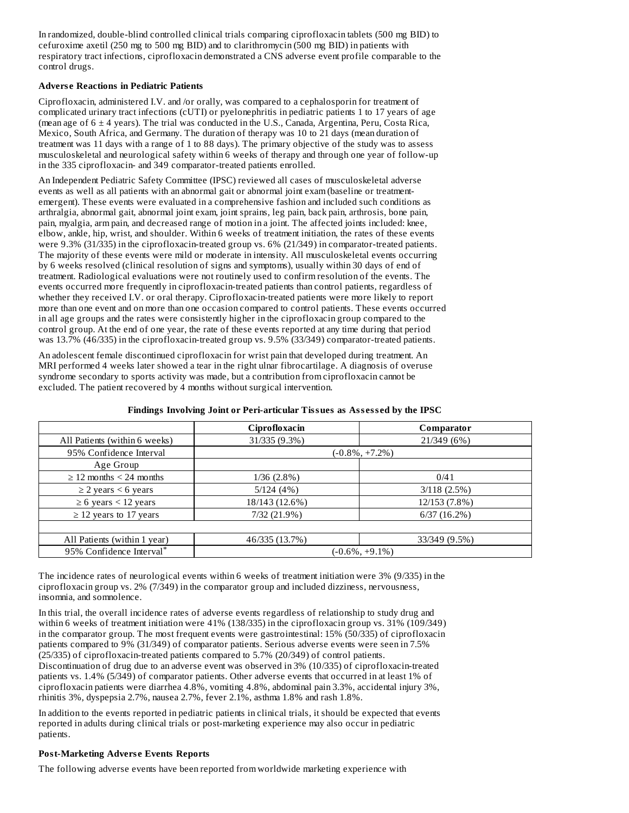In randomized, double-blind controlled clinical trials comparing ciprofloxacin tablets (500 mg BID) to cefuroxime axetil (250 mg to 500 mg BID) and to clarithromycin (500 mg BID) in patients with respiratory tract infections, ciprofloxacin demonstrated a CNS adverse event profile comparable to the control drugs.

## **Advers e Reactions in Pediatric Patients**

Ciprofloxacin, administered I.V. and /or orally, was compared to a cephalosporin for treatment of complicated urinary tract infections (cUTI) or pyelonephritis in pediatric patients 1 to 17 years of age (mean age of  $6 \pm 4$  years). The trial was conducted in the U.S., Canada, Argentina, Peru, Costa Rica, Mexico, South Africa, and Germany. The duration of therapy was 10 to 21 days (mean duration of treatment was 11 days with a range of 1 to 88 days). The primary objective of the study was to assess musculoskeletal and neurological safety within 6 weeks of therapy and through one year of follow-up in the 335 ciprofloxacin- and 349 comparator-treated patients enrolled.

An Independent Pediatric Safety Committee (IPSC) reviewed all cases of musculoskeletal adverse events as well as all patients with an abnormal gait or abnormal joint exam (baseline or treatmentemergent). These events were evaluated in a comprehensive fashion and included such conditions as arthralgia, abnormal gait, abnormal joint exam, joint sprains, leg pain, back pain, arthrosis, bone pain, pain, myalgia, arm pain, and decreased range of motion in a joint. The affected joints included: knee, elbow, ankle, hip, wrist, and shoulder. Within 6 weeks of treatment initiation, the rates of these events were 9.3% (31/335) in the ciprofloxacin-treated group vs. 6% (21/349) in comparator-treated patients. The majority of these events were mild or moderate in intensity. All musculoskeletal events occurring by 6 weeks resolved (clinical resolution of signs and symptoms), usually within 30 days of end of treatment. Radiological evaluations were not routinely used to confirm resolution of the events. The events occurred more frequently in ciprofloxacin-treated patients than control patients, regardless of whether they received I.V. or oral therapy. Ciprofloxacin-treated patients were more likely to report more than one event and on more than one occasion compared to control patients. These events occurred in all age groups and the rates were consistently higher in the ciprofloxacin group compared to the control group. At the end of one year, the rate of these events reported at any time during that period was 13.7% (46/335) in the ciprofloxacin-treated group vs. 9.5% (33/349) comparator-treated patients.

An adolescent female discontinued ciprofloxacin for wrist pain that developed during treatment. An MRI performed 4 weeks later showed a tear in the right ulnar fibrocartilage. A diagnosis of overuse syndrome secondary to sports activity was made, but a contribution from ciprofloxacin cannot be excluded. The patient recovered by 4 months without surgical intervention.

|                                | Ciprofloxacin  | Comparator         |
|--------------------------------|----------------|--------------------|
| All Patients (within 6 weeks)  | 31/335 (9.3%)  | 21/349 (6%)        |
| 95% Confidence Interval        |                | $(-0.8\%, +7.2\%)$ |
| Age Group                      |                |                    |
| $\geq$ 12 months < 24 months   | $1/36(2.8\%)$  | 0/41               |
| $\geq$ 2 years $\leq$ 6 years  | 5/124(4%)      | 3/118(2.5%)        |
| $\geq 6$ years $\leq 12$ years | 18/143 (12.6%) | 12/153 (7.8%)      |
| $\geq$ 12 years to 17 years    | 7/32 (21.9%)   | 6/37(16.2%)        |
|                                |                |                    |
| All Patients (within 1 year)   | 46/335 (13.7%) | 33/349 (9.5%)      |
| 95% Confidence Interval*       |                | $(-0.6\%, +9.1\%)$ |

### **Findings Involving Joint or Peri-articular Tissues as Ass ess ed by the IPSC**

The incidence rates of neurological events within 6 weeks of treatment initiation were 3% (9/335) in the ciprofloxacin group vs. 2% (7/349) in the comparator group and included dizziness, nervousness, insomnia, and somnolence.

In this trial, the overall incidence rates of adverse events regardless of relationship to study drug and within 6 weeks of treatment initiation were 41% (138/335) in the ciprofloxacin group vs. 31% (109/349) in the comparator group. The most frequent events were gastrointestinal: 15% (50/335) of ciprofloxacin patients compared to 9% (31/349) of comparator patients. Serious adverse events were seen in 7.5% (25/335) of ciprofloxacin-treated patients compared to 5.7% (20/349) of control patients. Discontinuation of drug due to an adverse event was observed in 3% (10/335) of ciprofloxacin-treated patients vs. 1.4% (5/349) of comparator patients. Other adverse events that occurred in at least 1% of ciprofloxacin patients were diarrhea 4.8%, vomiting 4.8%, abdominal pain 3.3%, accidental injury 3%, rhinitis 3%, dyspepsia 2.7%, nausea 2.7%, fever 2.1%, asthma 1.8% and rash 1.8%.

In addition to the events reported in pediatric patients in clinical trials, it should be expected that events reported in adults during clinical trials or post-marketing experience may also occur in pediatric patients.

## **Post-Marketing Advers e Events Reports**

The following adverse events have been reported from worldwide marketing experience with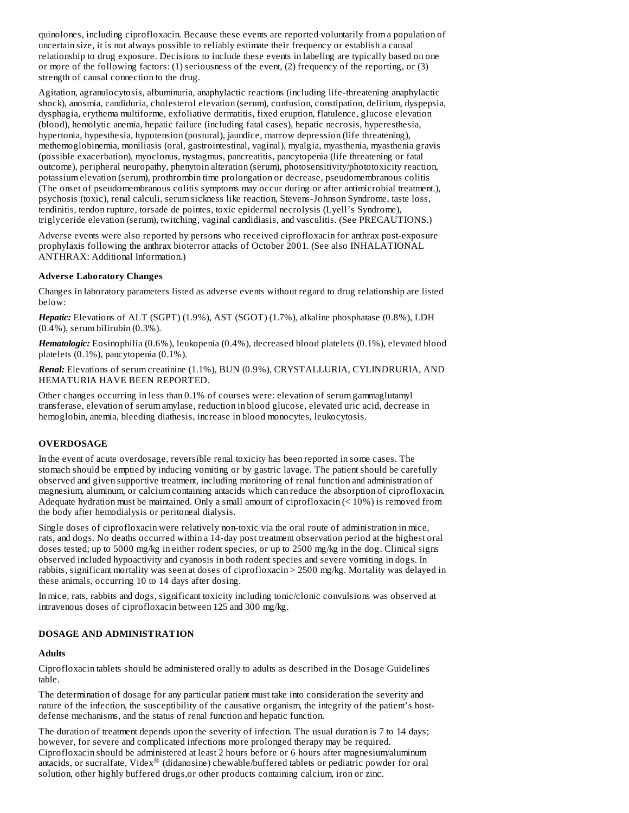quinolones, including ciprofloxacin. Because these events are reported voluntarily from a population of uncertain size, it is not always possible to reliably estimate their frequency or establish a causal relationship to drug exposure. Decisions to include these events in labeling are typically based on one or more of the following factors: (1) seriousness of the event, (2) frequency of the reporting, or (3) strength of causal connection to the drug.

Agitation, agranulocytosis, albuminuria, anaphylactic reactions (including life-threatening anaphylactic shock), anosmia, candiduria, cholesterol elevation (serum), confusion, constipation, delirium, dyspepsia, dysphagia, erythema multiforme, exfoliative dermatitis, fixed eruption, flatulence, glucose elevation (blood), hemolytic anemia, hepatic failure (including fatal cases), hepatic necrosis, hyperesthesia, hypertonia, hypesthesia, hypotension (postural), jaundice, marrow depression (life threatening), methemoglobinemia, moniliasis (oral, gastrointestinal, vaginal), myalgia, myasthenia, myasthenia gravis (possible exacerbation), myoclonus, nystagmus, pancreatitis, pancytopenia (life threatening or fatal outcome), peripheral neuropathy, phenytoin alteration (serum), photosensitivity/phototoxicity reaction, potassium elevation (serum), prothrombin time prolongation or decrease, pseudomembranous colitis (The onset of pseudomembranous colitis symptoms may occur during or after antimicrobial treatment.), psychosis (toxic), renal calculi, serum sickness like reaction, Stevens-Johnson Syndrome, taste loss, tendinitis, tendon rupture, torsade de pointes, toxic epidermal necrolysis (Lyell's Syndrome), triglyceride elevation (serum), twitching, vaginal candidiasis, and vasculitis. (See PRECAUTIONS.)

Adverse events were also reported by persons who received ciprofloxacin for anthrax post-exposure prophylaxis following the anthrax bioterror attacks of October 2001. (See also INHALATIONAL ANTHRAX: Additional Information.)

# **Advers e Laboratory Changes**

Changes in laboratory parameters listed as adverse events without regard to drug relationship are listed below:

*Hepatic:* Elevations of ALT (SGPT) (1.9%), AST (SGOT) (1.7%), alkaline phosphatase (0.8%), LDH (0.4%), serum bilirubin (0.3%).

*Hematologic:* Eosinophilia (0.6%), leukopenia (0.4%), decreased blood platelets (0.1%), elevated blood platelets (0.1%), pancytopenia (0.1%).

*Renal:* Elevations of serum creatinine (1.1%), BUN (0.9%), CRYSTALLURIA, CYLINDRURIA, AND HEMATURIA HAVE BEEN REPORTED.

Other changes occurring in less than 0.1% of courses were: elevation of serum gammaglutamyl transferase, elevation of serum amylase, reduction in blood glucose, elevated uric acid, decrease in hemoglobin, anemia, bleeding diathesis, increase in blood monocytes, leukocytosis.

# **OVERDOSAGE**

In the event of acute overdosage, reversible renal toxicity has been reported in some cases. The stomach should be emptied by inducing vomiting or by gastric lavage. The patient should be carefully observed and given supportive treatment, including monitoring of renal function and administration of magnesium, aluminum, or calcium containing antacids which can reduce the absorption of ciprofloxacin. Adequate hydration must be maintained. Only a small amount of ciprofloxacin (< 10%) is removed from the body after hemodialysis or peritoneal dialysis.

Single doses of ciprofloxacin were relatively non-toxic via the oral route of administration in mice, rats, and dogs. No deaths occurred within a 14-day post treatment observation period at the highest oral doses tested; up to 5000 mg/kg in either rodent species, or up to 2500 mg/kg in the dog. Clinical signs observed included hypoactivity and cyanosis in both rodent species and severe vomiting in dogs. In rabbits, significant mortality was seen at doses of ciprofloxacin > 2500 mg/kg. Mortality was delayed in these animals, occurring 10 to 14 days after dosing.

In mice, rats, rabbits and dogs, significant toxicity including tonic/clonic convulsions was observed at intravenous doses of ciprofloxacin between 125 and 300 mg/kg.

## **DOSAGE AND ADMINISTRATION**

## **Adults**

Ciprofloxacin tablets should be administered orally to adults as described in the Dosage Guidelines table.

The determination of dosage for any particular patient must take into consideration the severity and nature of the infection, the susceptibility of the causative organism, the integrity of the patient's hostdefense mechanisms, and the status of renal function and hepatic function.

The duration of treatment depends upon the severity of infection. The usual duration is 7 to 14 days; however, for severe and complicated infections more prolonged therapy may be required. Ciprofloxacin should be administered at least 2 hours before or 6 hours after magnesium/aluminum antacids, or sucralfate, Videx $^{\circledR}$  (didanosine) chewable/buffered tablets or pediatric powder for oral solution, other highly buffered drugs,or other products containing calcium, iron or zinc.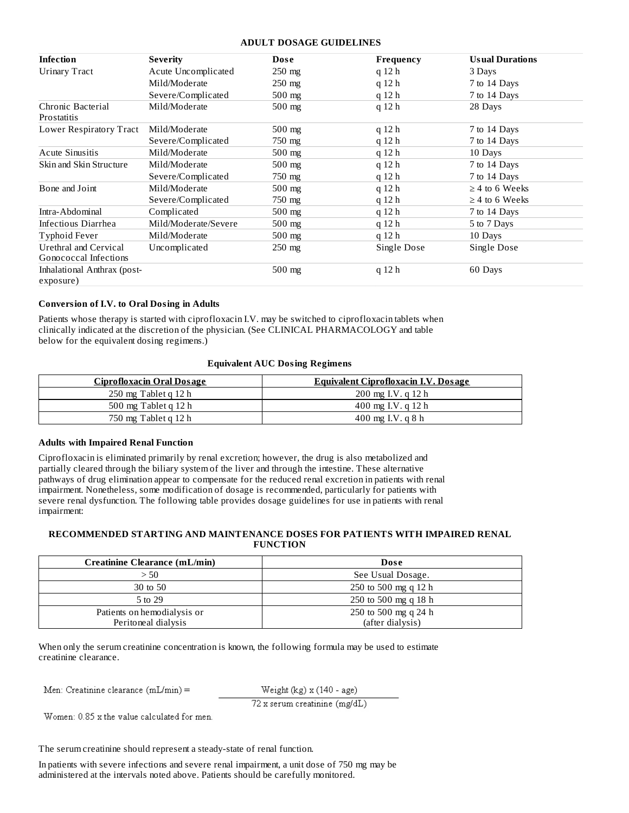### **ADULT DOSAGE GUIDELINES**

| Infection                                      | <b>Severity</b>      | Dose             | Frequency   | <b>Usual Durations</b> |
|------------------------------------------------|----------------------|------------------|-------------|------------------------|
| <b>Urinary Tract</b>                           | Acute Uncomplicated  | $250$ mg         | q 12 h      | 3 Days                 |
|                                                | Mild/Moderate        | $250 \text{ mg}$ | q 12 h      | 7 to 14 Days           |
|                                                | Severe/Complicated   | $500$ mg         | q 12 h      | 7 to 14 Days           |
| Chronic Bacterial<br>Prostatitis               | Mild/Moderate        | $500$ mg         | q 12 h      | 28 Days                |
| Lower Respiratory Tract                        | Mild/Moderate        | $500$ mg         | q 12 h      | 7 to 14 Days           |
|                                                | Severe/Complicated   | 750 mg           | q 12 h      | 7 to 14 Days           |
| <b>Acute Sinusitis</b>                         | Mild/Moderate        | $500$ mg         | q 12 h      | 10 Days                |
| Skin and Skin Structure                        | Mild/Moderate        | $500$ mg         | q 12 h      | 7 to 14 Days           |
|                                                | Severe/Complicated   | 750 mg           | q 12 h      | 7 to 14 Days           |
| Bone and Joint                                 | Mild/Moderate        | $500$ mg         | q 12 h      | $\geq$ 4 to 6 Weeks    |
|                                                | Severe/Complicated   | 750 mg           | q 12 h      | $\geq$ 4 to 6 Weeks    |
| Intra-Abdominal                                | Complicated          | $500$ mg         | q 12 h      | 7 to 14 Days           |
| Infectious Diarrhea                            | Mild/Moderate/Severe | $500$ mg         | q 12 h      | 5 to 7 Days            |
| Typhoid Fever                                  | Mild/Moderate        | $500$ mg         | q 12 h      | 10 Days                |
| Urethral and Cervical<br>Gonococcal Infections | Uncomplicated        | $250 \text{ mg}$ | Single Dose | Single Dose            |
| Inhalational Anthrax (post-<br>exposure)       |                      | $500$ mg         | q 12 h      | 60 Days                |

## **Conversion of I.V. to Oral Dosing in Adults**

Patients whose therapy is started with ciprofloxacin I.V. may be switched to ciprofloxacin tablets when clinically indicated at the discretion of the physician. (See CLINICAL PHARMACOLOGY and table below for the equivalent dosing regimens.)

### **Equivalent AUC Dosing Regimens**

| Ciprofloxacin Oral Dosage | Equivalent Ciprofloxacin I.V. Dosage |
|---------------------------|--------------------------------------|
| 250 mg Tablet q 12 h      | 200 mg I.V. q 12 h                   |
| 500 mg Tablet q 12 h      | 400 mg I.V. q 12 h                   |
| 750 mg Tablet q 12 h      | 400 mg I.V. q 8 h                    |

### **Adults with Impaired Renal Function**

Ciprofloxacin is eliminated primarily by renal excretion; however, the drug is also metabolized and partially cleared through the biliary system of the liver and through the intestine. These alternative pathways of drug elimination appear to compensate for the reduced renal excretion in patients with renal impairment. Nonetheless, some modification of dosage is recommended, particularly for patients with severe renal dysfunction. The following table provides dosage guidelines for use in patients with renal impairment:

### **RECOMMENDED STARTING AND MAINTENANCE DOSES FOR PATIENTS WITH IMPAIRED RENAL FUNCTION**

| Creatinine Clearance (mL/min) | <b>Dose</b>          |
|-------------------------------|----------------------|
| > 50                          | See Usual Dosage.    |
| 30 to 50                      | 250 to 500 mg q 12 h |
| 5 to 29                       | 250 to 500 mg q 18 h |
| Patients on hemodialysis or   | 250 to 500 mg q 24 h |
| Peritoneal dialysis           | (after dialysis)     |

When only the serum creatinine concentration is known, the following formula may be used to estimate creatinine clearance.

Men: Creatinine clearance (mL/min) =

Weight  $(kg)$  x  $(140 - age)$  $72x$  serum creatinine  $(mg/dL)$ 

Women: 0.85 x the value calculated for men.

The serum creatinine should represent a steady-state of renal function.

In patients with severe infections and severe renal impairment, a unit dose of 750 mg may be administered at the intervals noted above. Patients should be carefully monitored.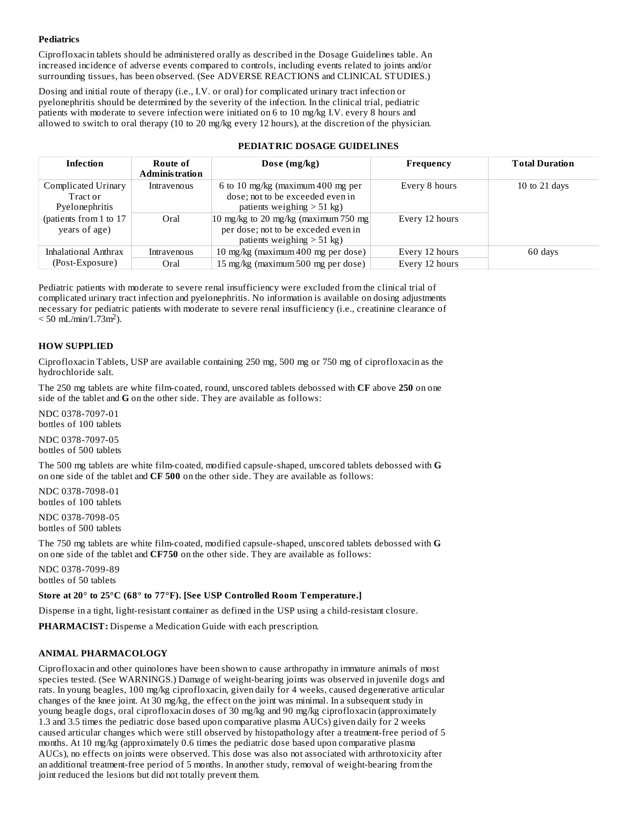## **Pediatrics**

Ciprofloxacin tablets should be administered orally as described in the Dosage Guidelines table. An increased incidence of adverse events compared to controls, including events related to joints and/or surrounding tissues, has been observed. (See ADVERSE REACTIONS and CLINICAL STUDIES.)

Dosing and initial route of therapy (i.e., I.V. or oral) for complicated urinary tract infection or pyelonephritis should be determined by the severity of the infection. In the clinical trial, pediatric patients with moderate to severe infection were initiated on 6 to 10 mg/kg I.V. every 8 hours and allowed to switch to oral therapy (10 to 20 mg/kg every 12 hours), at the discretion of the physician.

### **PEDIATRIC DOSAGE GUIDELINES**

| Infection                                         | Route of<br><b>Administration</b> | Dose $(mg/kg)$                                                                                              | Frequency      | <b>Total Duration</b> |
|---------------------------------------------------|-----------------------------------|-------------------------------------------------------------------------------------------------------------|----------------|-----------------------|
| Complicated Urinary<br>Tract or<br>Pyelonephritis | Intravenous                       | 6 to 10 mg/kg (maximum 400 mg per<br>dose; not to be exceeded even in<br>patients weighing $> 51$ kg)       | Every 8 hours  | 10 to 21 days         |
| (patients from 1 to 17<br>years of age)           | Oral                              | 10 mg/kg to 20 mg/kg (maximum 750 mg<br>per dose; not to be exceded even in<br>patients weighing $> 51$ kg) | Every 12 hours |                       |
| Inhalational Anthrax                              | Intravenous                       | 10 mg/kg (maximum 400 mg per dose)                                                                          | Every 12 hours | 60 days               |
| (Post-Exposure)                                   | Oral                              | 15 mg/kg (maximum 500 mg per dose)                                                                          | Every 12 hours |                       |

Pediatric patients with moderate to severe renal insufficiency were excluded from the clinical trial of complicated urinary tract infection and pyelonephritis. No information is available on dosing adjustments necessary for pediatric patients with moderate to severe renal insufficiency (i.e., creatinine clearance of  $< 50 \text{ mL/min} / 1.73 \text{ m}^2$ ).

## **HOW SUPPLIED**

Ciprofloxacin Tablets, USP are available containing 250 mg, 500 mg or 750 mg of ciprofloxacin as the hydrochloride salt.

The 250 mg tablets are white film-coated, round, unscored tablets debossed with **CF** above **250** on one side of the tablet and **G** on the other side. They are available as follows:

NDC 0378-7097-01 bottles of 100 tablets

NDC 0378-7097-05 bottles of 500 tablets

The 500 mg tablets are white film-coated, modified capsule-shaped, unscored tablets debossed with **G** on one side of the tablet and **CF 500** on the other side. They are available as follows:

NDC 0378-7098-01 bottles of 100 tablets

NDC 0378-7098-05 bottles of 500 tablets

The 750 mg tablets are white film-coated, modified capsule-shaped, unscored tablets debossed with **G** on one side of the tablet and **CF750** on the other side. They are available as follows:

NDC 0378-7099-89 bottles of 50 tablets

## **Store at 20° to 25°C (68° to 77°F). [See USP Controlled Room Temperature.]**

Dispense in a tight, light-resistant container as defined in the USP using a child-resistant closure.

**PHARMACIST:** Dispense a Medication Guide with each prescription.

## **ANIMAL PHARMACOLOGY**

Ciprofloxacin and other quinolones have been shown to cause arthropathy in immature animals of most species tested. (See WARNINGS.) Damage of weight-bearing joints was observed in juvenile dogs and rats. In young beagles, 100 mg/kg ciprofloxacin, given daily for 4 weeks, caused degenerative articular changes of the knee joint. At 30 mg/kg, the effect on the joint was minimal. In a subsequent study in young beagle dogs, oral ciprofloxacin doses of 30 mg/kg and 90 mg/kg ciprofloxacin (approximately 1.3 and 3.5 times the pediatric dose based upon comparative plasma AUCs) given daily for 2 weeks caused articular changes which were still observed by histopathology after a treatment-free period of 5 months. At 10 mg/kg (approximately 0.6 times the pediatric dose based upon comparative plasma AUCs), no effects on joints were observed. This dose was also not associated with arthrotoxicity after an additional treatment-free period of 5 months. In another study, removal of weight-bearing from the joint reduced the lesions but did not totally prevent them.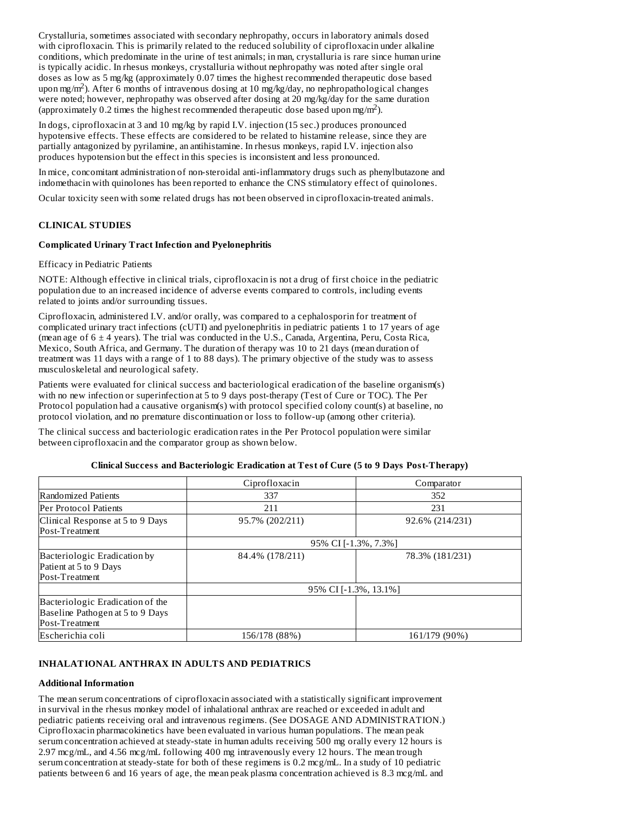Crystalluria, sometimes associated with secondary nephropathy, occurs in laboratory animals dosed with ciprofloxacin. This is primarily related to the reduced solubility of ciprofloxacin under alkaline conditions, which predominate in the urine of test animals; in man, crystalluria is rare since human urine is typically acidic. In rhesus monkeys, crystalluria without nephropathy was noted after single oral doses as low as 5 mg/kg (approximately 0.07 times the highest recommended therapeutic dose based upon mg/m<sup>2</sup>). After  $\bar{6}$  months of intravenous dosing at 10 mg/kg/day, no nephropathological changes were noted; however, nephropathy was observed after dosing at 20 mg/kg/day for the same duration (approximately 0.2 times the highest recommended therapeutic dose based upon mg/m<sup>2</sup>).

In dogs, ciprofloxacin at 3 and 10 mg/kg by rapid I.V. injection (15 sec.) produces pronounced hypotensive effects. These effects are considered to be related to histamine release, since they are partially antagonized by pyrilamine, an antihistamine. In rhesus monkeys, rapid I.V. injection also produces hypotension but the effect in this species is inconsistent and less pronounced.

In mice, concomitant administration of non-steroidal anti-inflammatory drugs such as phenylbutazone and indomethacin with quinolones has been reported to enhance the CNS stimulatory effect of quinolones.

Ocular toxicity seen with some related drugs has not been observed in ciprofloxacin-treated animals.

## **CLINICAL STUDIES**

### **Complicated Urinary Tract Infection and Pyelonephritis**

### Efficacy in Pediatric Patients

NOTE: Although effective in clinical trials, ciprofloxacin is not a drug of first choice in the pediatric population due to an increased incidence of adverse events compared to controls, including events related to joints and/or surrounding tissues.

Ciprofloxacin, administered I.V. and/or orally, was compared to a cephalosporin for treatment of complicated urinary tract infections (cUTI) and pyelonephritis in pediatric patients 1 to 17 years of age (mean age of 6 ± 4 years). The trial was conducted in the U.S., Canada, Argentina, Peru, Costa Rica, Mexico, South Africa, and Germany. The duration of therapy was 10 to 21 days (mean duration of treatment was 11 days with a range of 1 to 88 days). The primary objective of the study was to assess musculoskeletal and neurological safety.

Patients were evaluated for clinical success and bacteriological eradication of the baseline organism(s) with no new infection or superinfection at 5 to 9 days post-therapy (Test of Cure or TOC). The Per Protocol population had a causative organism(s) with protocol specified colony count(s) at baseline, no protocol violation, and no premature discontinuation or loss to follow-up (among other criteria).

The clinical success and bacteriologic eradication rates in the Per Protocol population were similar between ciprofloxacin and the comparator group as shown below.

|                                                                                        | Ciprofloxacin         | Comparator           |  |  |
|----------------------------------------------------------------------------------------|-----------------------|----------------------|--|--|
| Randomized Patients                                                                    | 337                   | 352                  |  |  |
| Per Protocol Patients                                                                  | 211                   | 231                  |  |  |
| Clinical Response at 5 to 9 Days<br>Post-Treatment                                     | 95.7% (202/211)       | 92.6% (214/231)      |  |  |
|                                                                                        |                       | 95% CI [-1.3%, 7.3%] |  |  |
| Bacteriologic Eradication by<br>Patient at 5 to 9 Days<br>Post-Treatment               | 84.4% (178/211)       | 78.3% (181/231)      |  |  |
|                                                                                        | 95% CI [-1.3%, 13.1%] |                      |  |  |
| Bacteriologic Eradication of the<br>Baseline Pathogen at 5 to 9 Days<br>Post-Treatment |                       |                      |  |  |
| Escherichia coli                                                                       | 156/178 (88%)         | 161/179 (90%)        |  |  |

### **Clinical Success and Bacteriologic Eradication at Test of Cure (5 to 9 Days Post-Therapy)**

## **INHALATIONAL ANTHRAX IN ADULTS AND PEDIATRICS**

## **Additional Information**

The mean serum concentrations of ciprofloxacin associated with a statistically significant improvement in survival in the rhesus monkey model of inhalational anthrax are reached or exceeded in adult and pediatric patients receiving oral and intravenous regimens. (See DOSAGE AND ADMINISTRATION.) Ciprofloxacin pharmacokinetics have been evaluated in various human populations. The mean peak serum concentration achieved at steady-state in human adults receiving 500 mg orally every 12 hours is 2.97 mcg/mL, and 4.56 mcg/mL following 400 mg intravenously every 12 hours. The mean trough serum concentration at steady-state for both of these regimens is 0.2 mcg/mL. In a study of 10 pediatric patients between 6 and 16 years of age, the mean peak plasma concentration achieved is 8.3 mcg/mL and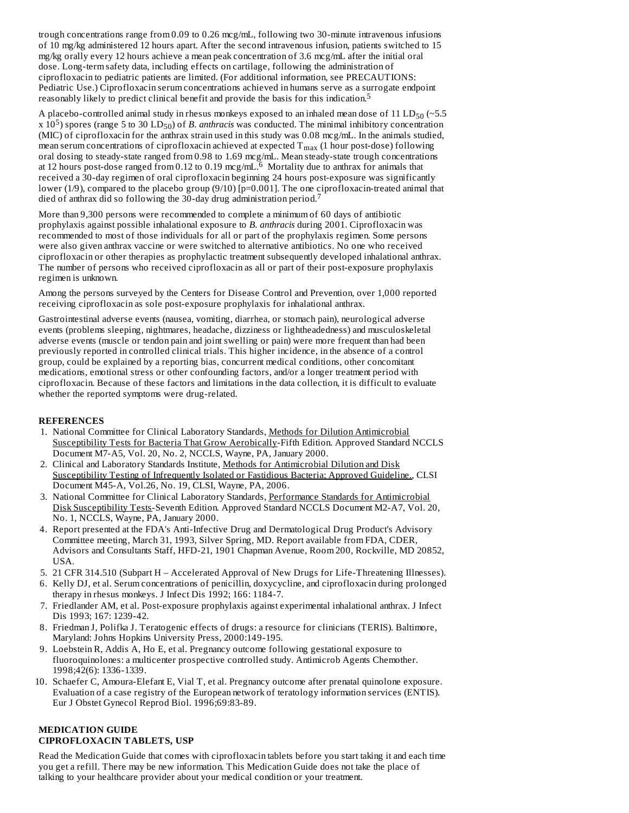trough concentrations range from 0.09 to 0.26 mcg/mL, following two 30-minute intravenous infusions of 10 mg/kg administered 12 hours apart. After the second intravenous infusion, patients switched to 15 mg/kg orally every 12 hours achieve a mean peak concentration of 3.6 mcg/mL after the initial oral dose. Long-term safety data, including effects on cartilage, following the administration of ciprofloxacin to pediatric patients are limited. (For additional information, see PRECAUTIONS: Pediatric Use.) Ciprofloxacin serum concentrations achieved in humans serve as a surrogate endpoint reasonably likely to predict clinical benefit and provide the basis for this indication. 5

A placebo-controlled animal study in rhesus monkeys exposed to an inhaled mean dose of 11  $\text{LD}_{50}$  (~5.5  $\,$  $\rm{x}$   $\rm{10^5}$ ) spores (range 5 to 30 LD<sub>50</sub>) of *B. anthracis* was conducted. The minimal inhibitory concentration (MIC) of ciprofloxacin for the anthrax strain used in this study was 0.08 mcg/mL. In the animals studied, mean serum concentrations of ciprofloxacin achieved at expected  $\rm T_{max}$  (1 hour post-dose) following oral dosing to steady-state ranged from 0.98 to 1.69 mcg/mL. Mean steady-state trough concentrations at 12 hours post-dose ranged from 0.12 to 0.19 mcg/mL.<sup>6</sup> Mortality due to anthrax for animals that received a 30-day regimen of oral ciprofloxacin beginning 24 hours post-exposure was significantly lower (1/9), compared to the placebo group (9/10) [p=0.001]. The one ciprofloxacin-treated animal that died of anthrax did so following the 30-day drug administration period.<sup>7</sup>

More than 9,300 persons were recommended to complete a minimum of 60 days of antibiotic prophylaxis against possible inhalational exposure to *B. anthracis* during 2001. Ciprofloxacin was recommended to most of those individuals for all or part of the prophylaxis regimen. Some persons were also given anthrax vaccine or were switched to alternative antibiotics. No one who received ciprofloxacin or other therapies as prophylactic treatment subsequently developed inhalational anthrax. The number of persons who received ciprofloxacin as all or part of their post-exposure prophylaxis regimen is unknown.

Among the persons surveyed by the Centers for Disease Control and Prevention, over 1,000 reported receiving ciprofloxacin as sole post-exposure prophylaxis for inhalational anthrax.

Gastrointestinal adverse events (nausea, vomiting, diarrhea, or stomach pain), neurological adverse events (problems sleeping, nightmares, headache, dizziness or lightheadedness) and musculoskeletal adverse events (muscle or tendon pain and joint swelling or pain) were more frequent than had been previously reported in controlled clinical trials. This higher incidence, in the absence of a control group, could be explained by a reporting bias, concurrent medical conditions, other concomitant medications, emotional stress or other confounding factors, and/or a longer treatment period with ciprofloxacin. Because of these factors and limitations in the data collection, it is difficult to evaluate whether the reported symptoms were drug-related.

### **REFERENCES**

- 1. National Committee for Clinical Laboratory Standards, Methods for Dilution Antimicrobial Susceptibility Tests for Bacteria That Grow Aerobically-Fifth Edition. Approved Standard NCCLS Document M7-A5, Vol. 20, No. 2, NCCLS, Wayne, PA, January 2000.
- 2. Clinical and Laboratory Standards Institute, Methods for Antimicrobial Dilution and Disk Susceptibility Testing of Infrequently Isolated or Fastidious Bacteria; Approved Guideline., CLSI Document M45-A, Vol.26, No. 19, CLSI, Wayne, PA, 2006.
- 3. National Committee for Clinical Laboratory Standards, Performance Standards for Antimicrobial Disk Susceptibility Tests-Seventh Edition. Approved Standard NCCLS Document M2-A7, Vol. 20, No. 1, NCCLS, Wayne, PA, January 2000.
- 4. Report presented at the FDA's Anti-Infective Drug and Dermatological Drug Product's Advisory Committee meeting, March 31, 1993, Silver Spring, MD. Report available from FDA, CDER, Advisors and Consultants Staff, HFD-21, 1901 Chapman Avenue, Room 200, Rockville, MD 20852, USA.
- 5. 21 CFR 314.510 (Subpart H Accelerated Approval of New Drugs for Life-Threatening Illnesses).
- 6. Kelly DJ, et al. Serum concentrations of penicillin, doxycycline, and ciprofloxacin during prolonged therapy in rhesus monkeys. J Infect Dis 1992; 166: 1184-7.
- 7. Friedlander AM, et al. Post-exposure prophylaxis against experimental inhalational anthrax. J Infect Dis 1993; 167: 1239-42.
- 8. Friedman J, Polifka J. Teratogenic effects of drugs: a resource for clinicians (TERIS). Baltimore, Maryland: Johns Hopkins University Press, 2000:149-195.
- 9. Loebstein R, Addis A, Ho E, et al. Pregnancy outcome following gestational exposure to fluoroquinolones: a multicenter prospective controlled study. Antimicrob Agents Chemother. 1998;42(6): 1336-1339.
- 10. Schaefer C, Amoura-Elefant E, Vial T, et al. Pregnancy outcome after prenatal quinolone exposure. Evaluation of a case registry of the European network of teratology information services (ENTIS). Eur J Obstet Gynecol Reprod Biol. 1996;69:83-89.

# **MEDICATION GUIDE CIPROFLOXACIN TABLETS, USP**

Read the Medication Guide that comes with ciprofloxacin tablets before you start taking it and each time you get a refill. There may be new information. This Medication Guide does not take the place of talking to your healthcare provider about your medical condition or your treatment.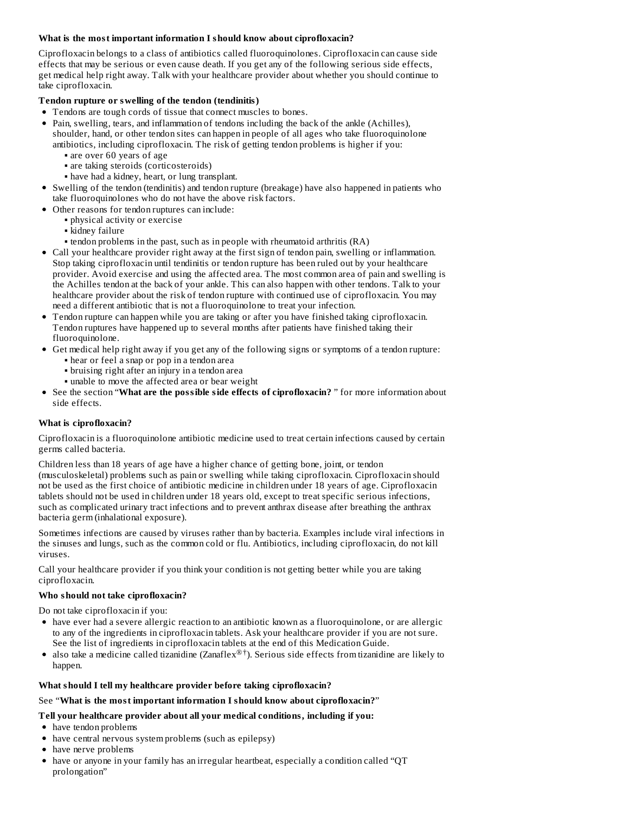## **What is the most important information I should know about ciprofloxacin?**

Ciprofloxacin belongs to a class of antibiotics called fluoroquinolones. Ciprofloxacin can cause side effects that may be serious or even cause death. If you get any of the following serious side effects, get medical help right away. Talk with your healthcare provider about whether you should continue to take ciprofloxacin.

## **Tendon rupture or swelling of the tendon (tendinitis)**

- Tendons are tough cords of tissue that connect muscles to bones.
- Pain, swelling, tears, and inflammation of tendons including the back of the ankle (Achilles), shoulder, hand, or other tendon sites can happen in people of all ages who take fluoroquinolone antibiotics, including ciprofloxacin. The risk of getting tendon problems is higher if you:
	- are over 60 years of age
	- are taking steroids (corticosteroids)
	- have had a kidney, heart, or lung transplant.
- Swelling of the tendon (tendinitis) and tendon rupture (breakage) have also happened in patients who take fluoroquinolones who do not have the above risk factors.
- Other reasons for tendon ruptures can include:
	- physical activity or exercise
		- kidney failure
	- tendon problems in the past, such as in people with rheumatoid arthritis (RA)
- Call your healthcare provider right away at the first sign of tendon pain, swelling or inflammation. Stop taking ciprofloxacin until tendinitis or tendon rupture has been ruled out by your healthcare provider. Avoid exercise and using the affected area. The most common area of pain and swelling is the Achilles tendon at the back of your ankle. This can also happen with other tendons. Talk to your healthcare provider about the risk of tendon rupture with continued use of ciprofloxacin. You may need a different antibiotic that is not a fluoroquinolone to treat your infection.
- Tendon rupture can happen while you are taking or after you have finished taking ciprofloxacin. Tendon ruptures have happened up to several months after patients have finished taking their fluoroquinolone.
- Get medical help right away if you get any of the following signs or symptoms of a tendon rupture:
	- hear or feel a snap or pop in a tendon area
	- bruising right after an injury in a tendon area
	- unable to move the affected area or bear weight
- See the section "**What are the possible side effects of ciprofloxacin?** " for more information about side effects.

# **What is ciprofloxacin?**

Ciprofloxacin is a fluoroquinolone antibiotic medicine used to treat certain infections caused by certain germs called bacteria.

Children less than 18 years of age have a higher chance of getting bone, joint, or tendon (musculoskeletal) problems such as pain or swelling while taking ciprofloxacin. Ciprofloxacin should not be used as the first choice of antibiotic medicine in children under 18 years of age. Ciprofloxacin tablets should not be used in children under 18 years old, except to treat specific serious infections, such as complicated urinary tract infections and to prevent anthrax disease after breathing the anthrax bacteria germ (inhalational exposure).

Sometimes infections are caused by viruses rather than by bacteria. Examples include viral infections in the sinuses and lungs, such as the common cold or flu. Antibiotics, including ciprofloxacin, do not kill viruses.

Call your healthcare provider if you think your condition is not getting better while you are taking ciprofloxacin.

## **Who should not take ciprofloxacin?**

Do not take ciprofloxacin if you:

- have ever had a severe allergic reaction to an antibiotic known as a fluoroquinolone, or are allergic to any of the ingredients in ciprofloxacin tablets. Ask your healthcare provider if you are not sure. See the list of ingredients in ciprofloxacin tablets at the end of this Medication Guide.
- also take a medicine called tizanidine (Zanaflex $^{\circledast\dagger}$ ). Serious side effects from tizanidine are likely to happen.

## **What should I tell my healthcare provider before taking ciprofloxacin?**

## See "**What is the most important information I should know about ciprofloxacin?**"

## **Tell your healthcare provider about all your medical conditions, including if you:**

- have tendon problems
- have central nervous system problems (such as epilepsy)
- have nerve problems
- have or anyone in your family has an irregular heartbeat, especially a condition called "QT prolongation"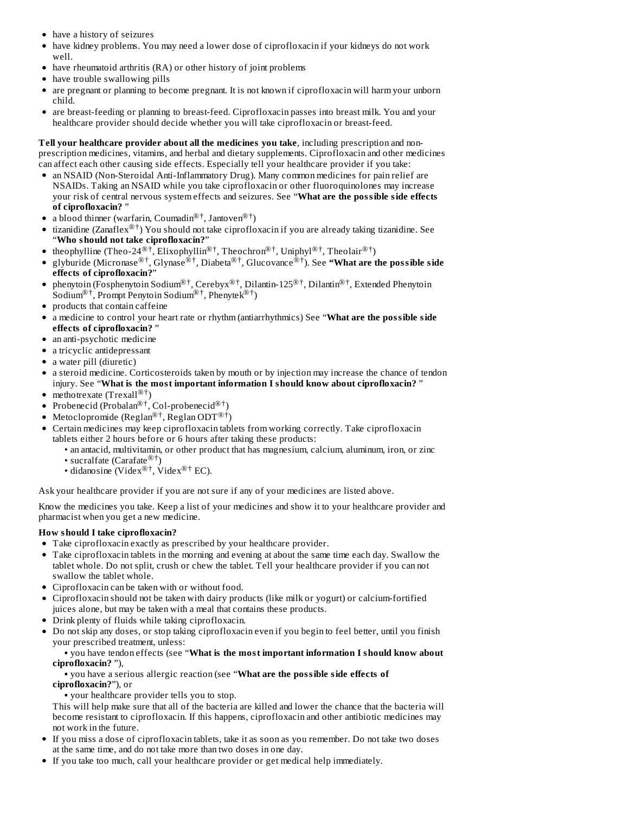- have a history of seizures
- $\bullet$ have kidney problems. You may need a lower dose of ciprofloxacin if your kidneys do not work well.
- have rheumatoid arthritis (RA) or other history of joint problems
- have trouble swallowing pills
- are pregnant or planning to become pregnant. It is not known if ciprofloxacin will harm your unborn child.
- are breast-feeding or planning to breast-feed. Ciprofloxacin passes into breast milk. You and your healthcare provider should decide whether you will take ciprofloxacin or breast-feed.

**Tell your healthcare provider about all the medicines you take**, including prescription and nonprescription medicines, vitamins, and herbal and dietary supplements. Ciprofloxacin and other medicines can affect each other causing side effects. Especially tell your healthcare provider if you take:

- an NSAID (Non-Steroidal Anti-Inflammatory Drug). Many common medicines for pain relief are NSAIDs. Taking an NSAID while you take ciprofloxacin or other fluoroquinolones may increase your risk of central nervous system effects and seizures. See "**What are the possible side effects of ciprofloxacin?** "
- a blood thinner (warfarin, Coumadin $^{\circledR \dagger}$ , Jantoven $^{\circledR \dagger}$ )
- tizanidine (Zanaflex $^{\circledR \dagger}$ ) You should not take ciprofloxacin if you are already taking tizanidine. See "**Who should not take ciprofloxacin?**"
- theophylline (Theo-24®†, Elixophyllin®†, Theochron®†, Uniphyl®†, Theolair®†) ®† ®† ®† ®† ®†
- $g$ lyburide (Micronase ${}^{\circledR\dagger}, G$ lynase ${}^{\circledR\dagger}, D$ iabeta ${}^{\circledR\dagger}, G$ lucovance ${}^{\circledR\dagger}$ ). See **"What are the possible side effects of ciprofloxacin?**" <sup>®†</sup> Glynase®† Diabeta<sup>®†</sup> Glucovance®†)
- phenytoin (Fosphenytoin Sodium $^{\circledR \dagger}$ , Cerebyx $^{\circledR \dagger}$ , Dilantin-125 $^{\circledR \dagger}$ , Dilantin $^{\circledR \dagger}$ , Extended Phenytoin Sodium $\mathbb{R}^{\dagger}$ , Prompt Penytoin Sodium $\mathbb{R}^{\dagger}$ , Phenytek $\mathbb{R}^{\dagger}$ )
- products that contain caffeine
- a medicine to control your heart rate or rhythm (antiarrhythmics) See "**What are the possible side effects of ciprofloxacin?** "
- an anti-psychotic medicine
- a tricyclic antidepressant
- a water pill (diuretic)
- a steroid medicine. Corticosteroids taken by mouth or by injection may increase the chance of tendon injury. See "**What is the most important information I should know about ciprofloxacin?** "
- methotrexate (Trexall $\mathbb{R}^+$ )
- Probenecid (Probalan $^{\circledR \dagger}$ , Col-probenecid $^{\circledR \dagger})$
- Metoclopromide (Reglan $^{\circledR \dagger}$ , Reglan ODT $^{\circledR \dagger})$
- Certain medicines may keep ciprofloxacin tablets from working correctly. Take ciprofloxacin tablets either 2 hours before or 6 hours after taking these products:
	- an antacid, multivitamin, or other product that has magnesium, calcium, aluminum, iron, or zinc • sucral fate (Carafate ${}^{\circledR\dagger}$ )
	- didanosine (Videx $\mathbb{R}^+$ , Videx $\mathbb{R}^+$  EC).

Ask your healthcare provider if you are not sure if any of your medicines are listed above.

Know the medicines you take. Keep a list of your medicines and show it to your healthcare provider and pharmacist when you get a new medicine.

## **How should I take ciprofloxacin?**

- Take ciprofloxacin exactly as prescribed by your healthcare provider.
- Take ciprofloxacin tablets in the morning and evening at about the same time each day. Swallow the tablet whole. Do not split, crush or chew the tablet. Tell your healthcare provider if you can not swallow the tablet whole.
- Ciprofloxacin can be taken with or without food.
- Ciprofloxacin should not be taken with dairy products (like milk or yogurt) or calcium-fortified juices alone, but may be taken with a meal that contains these products.
- Drink plenty of fluids while taking ciprofloxacin.
- Do not skip any doses, or stop taking ciprofloxacin even if you begin to feel better, until you finish your prescribed treatment, unless:

## ▪ you have tendon effects (see "**What is the most important information I should know about ciprofloxacin?** "),

### ▪ you have a serious allergic reaction (see "**What are the possible side effects of ciprofloxacin?**"), or

▪ your healthcare provider tells you to stop.

This will help make sure that all of the bacteria are killed and lower the chance that the bacteria will become resistant to ciprofloxacin. If this happens, ciprofloxacin and other antibiotic medicines may not work in the future.

- If you miss a dose of ciprofloxacin tablets, take it as soon as you remember. Do not take two doses at the same time, and do not take more than two doses in one day.
- If you take too much, call your healthcare provider or get medical help immediately.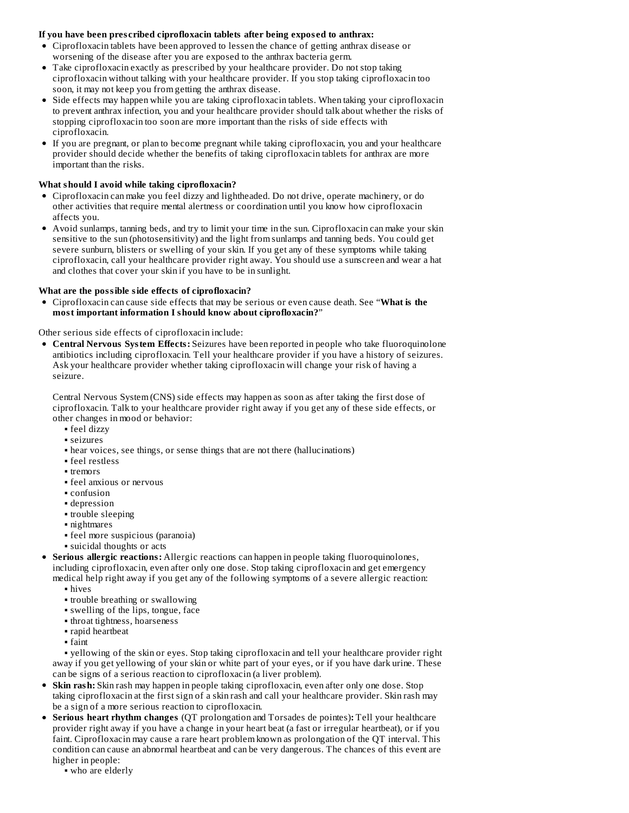# **If you have been pres cribed ciprofloxacin tablets after being expos ed to anthrax:**

- Ciprofloxacin tablets have been approved to lessen the chance of getting anthrax disease or worsening of the disease after you are exposed to the anthrax bacteria germ.
- Take ciprofloxacin exactly as prescribed by your healthcare provider. Do not stop taking ciprofloxacin without talking with your healthcare provider. If you stop taking ciprofloxacin too soon, it may not keep you from getting the anthrax disease.
- Side effects may happen while you are taking ciprofloxacin tablets. When taking your ciprofloxacin to prevent anthrax infection, you and your healthcare provider should talk about whether the risks of stopping ciprofloxacin too soon are more important than the risks of side effects with ciprofloxacin.
- If you are pregnant, or plan to become pregnant while taking ciprofloxacin, you and your healthcare provider should decide whether the benefits of taking ciprofloxacin tablets for anthrax are more important than the risks.

## **What should I avoid while taking ciprofloxacin?**

- Ciprofloxacin can make you feel dizzy and lightheaded. Do not drive, operate machinery, or do other activities that require mental alertness or coordination until you know how ciprofloxacin affects you.
- Avoid sunlamps, tanning beds, and try to limit your time in the sun. Ciprofloxacin can make your skin sensitive to the sun (photosensitivity) and the light from sunlamps and tanning beds. You could get severe sunburn, blisters or swelling of your skin. If you get any of these symptoms while taking ciprofloxacin, call your healthcare provider right away. You should use a sunscreen and wear a hat and clothes that cover your skin if you have to be in sunlight.

# **What are the possible side effects of ciprofloxacin?**

Ciprofloxacin can cause side effects that may be serious or even cause death. See "**What is the most important information I should know about ciprofloxacin?**"

Other serious side effects of ciprofloxacin include:

**Central Nervous System Effects:** Seizures have been reported in people who take fluoroquinolone antibiotics including ciprofloxacin. Tell your healthcare provider if you have a history of seizures. Ask your healthcare provider whether taking ciprofloxacin will change your risk of having a seizure.

Central Nervous System (CNS) side effects may happen as soon as after taking the first dose of ciprofloxacin. Talk to your healthcare provider right away if you get any of these side effects, or other changes in mood or behavior:

- **·** feel dizzy
- seizures
- hear voices, see things, or sense things that are not there (hallucinations)
- feel restless
- tremors
- **•** feel anxious or nervous
- confusion
- **•** depression
- trouble sleeping
- nightmares
- feel more suspicious (paranoia)
- suicidal thoughts or acts
- **Serious allergic reactions:** Allergic reactions can happen in people taking fluoroquinolones, including ciprofloxacin, even after only one dose. Stop taking ciprofloxacin and get emergency
	- medical help right away if you get any of the following symptoms of a severe allergic reaction: ▪ hives
		- trouble breathing or swallowing
		- swelling of the lips, tongue, face
		- throat tightness, hoarseness
		- rapid heartbeat
		- faint

▪ yellowing of the skin or eyes. Stop taking ciprofloxacin and tell your healthcare provider right away if you get yellowing of your skin or white part of your eyes, or if you have dark urine. These can be signs of a serious reaction to ciprofloxacin (a liver problem).

- **Skin rash:** Skin rash may happen in people taking ciprofloxacin, even after only one dose. Stop taking ciprofloxacin at the first sign of a skin rash and call your healthcare provider. Skin rash may be a sign of a more serious reaction to ciprofloxacin.
- **Serious heart rhythm changes** (QT prolongation and Torsades de pointes)**:** Tell your healthcare provider right away if you have a change in your heart beat (a fast or irregular heartbeat), or if you faint. Ciprofloxacin may cause a rare heart problem known as prolongation of the QT interval. This condition can cause an abnormal heartbeat and can be very dangerous. The chances of this event are higher in people:

▪ who are elderly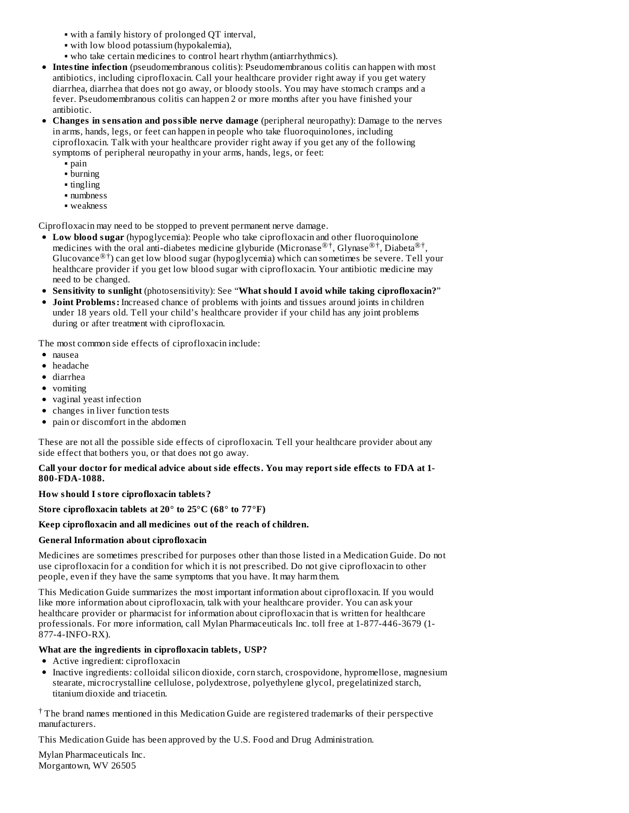- with a family history of prolonged QT interval,
- with low blood potassium (hypokalemia),
- who take certain medicines to control heart rhythm (antiarrhythmics).
- **Intestine infection** (pseudomembranous colitis): Pseudomembranous colitis can happen with most antibiotics, including ciprofloxacin. Call your healthcare provider right away if you get watery diarrhea, diarrhea that does not go away, or bloody stools. You may have stomach cramps and a fever. Pseudomembranous colitis can happen 2 or more months after you have finished your antibiotic.
- **Changes in s ensation and possible nerve damage** (peripheral neuropathy): Damage to the nerves in arms, hands, legs, or feet can happen in people who take fluoroquinolones, including ciprofloxacin. Talk with your healthcare provider right away if you get any of the following symptoms of peripheral neuropathy in your arms, hands, legs, or feet:
	- pain
	- burning
	- tingling
	- numbness
	- weakness

Ciprofloxacin may need to be stopped to prevent permanent nerve damage.

- **Low blood sugar** (hypoglycemia): People who take ciprofloxacin and other fluoroquinolone medicines with the oral anti-diabetes medicine glyburide (Micronase<sup>®†</sup>, Glynase<sup>®†</sup>, Diabeta<sup>®†</sup>, Glucovance<sup>®†</sup>) can get low blood sugar (hypoglycemia) which can sometimes be severe. Tell your healthcare provider if you get low blood sugar with ciprofloxacin. Your antibiotic medicine may need to be changed.
- **Sensitivity to sunlight** (photosensitivity): See "**What should I avoid while taking ciprofloxacin?**"
- **Joint Problems:** Increased chance of problems with joints and tissues around joints in children under 18 years old. Tell your child's healthcare provider if your child has any joint problems during or after treatment with ciprofloxacin.

The most common side effects of ciprofloxacin include:

- nausea
- headache
- diarrhea
- vomiting
- vaginal yeast infection
- changes in liver function tests
- pain or discomfort in the abdomen

These are not all the possible side effects of ciprofloxacin. Tell your healthcare provider about any side effect that bothers you, or that does not go away.

### **Call your doctor for medical advice about side effects. You may report side effects to FDA at 1- 800-FDA-1088.**

## **How should I store ciprofloxacin tablets?**

**Store ciprofloxacin tablets at 20° to 25°C (68° to 77°F)**

## **Keep ciprofloxacin and all medicines out of the reach of children.**

## **General Information about ciprofloxacin**

Medicines are sometimes prescribed for purposes other than those listed in a Medication Guide. Do not use ciprofloxacin for a condition for which it is not prescribed. Do not give ciprofloxacin to other people, even if they have the same symptoms that you have. It may harm them.

This Medication Guide summarizes the most important information about ciprofloxacin. If you would like more information about ciprofloxacin, talk with your healthcare provider. You can ask your healthcare provider or pharmacist for information about ciprofloxacin that is written for healthcare professionals. For more information, call Mylan Pharmaceuticals Inc. toll free at 1-877-446-3679 (1- 877-4-INFO-RX).

## **What are the ingredients in ciprofloxacin tablets, USP?**

- Active ingredient: ciprofloxacin
- Inactive ingredients: colloidal silicon dioxide, corn starch, crospovidone, hypromellose, magnesium stearate, microcrystalline cellulose, polydextrose, polyethylene glycol, pregelatinized starch, titanium dioxide and triacetin.

 $^\dagger$  The brand names mentioned in this Medication Guide are registered trademarks of their perspective manufacturers.

This Medication Guide has been approved by the U.S. Food and Drug Administration.

Mylan Pharmaceuticals Inc. Morgantown, WV 26505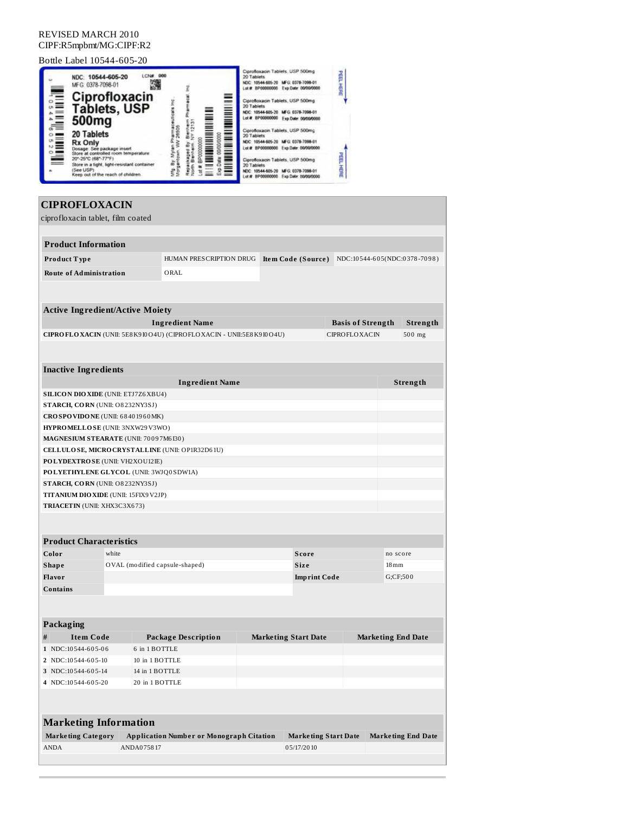REVISED MARCH 2010 CIPF:R5mpbmt/MG:CIPF:R2

Bottle Label 10544-605-20



۷

## **CIPROFLOXACIN**

|                              | CIPROFLOXACIN                                                                  |                                |                                                                    |                    |  |                             |                              |                           |                           |
|------------------------------|--------------------------------------------------------------------------------|--------------------------------|--------------------------------------------------------------------|--------------------|--|-----------------------------|------------------------------|---------------------------|---------------------------|
|                              | ciprofloxacin tablet, film coated                                              |                                |                                                                    |                    |  |                             |                              |                           |                           |
|                              |                                                                                |                                |                                                                    |                    |  |                             |                              |                           |                           |
|                              | <b>Product Information</b>                                                     |                                |                                                                    |                    |  |                             |                              |                           |                           |
|                              | <b>Product Type</b>                                                            |                                | HUMAN PRESCRIPTION DRUG                                            | Item Code (Source) |  |                             | NDC:10544-605(NDC:0378-7098) |                           |                           |
|                              | <b>Route of Administration</b>                                                 |                                | ORAL                                                               |                    |  |                             |                              |                           |                           |
|                              |                                                                                |                                |                                                                    |                    |  |                             |                              |                           |                           |
|                              |                                                                                |                                |                                                                    |                    |  |                             |                              |                           |                           |
|                              | <b>Active Ingredient/Active Moiety</b>                                         |                                |                                                                    |                    |  |                             |                              |                           |                           |
|                              |                                                                                |                                | <b>Ingredient Name</b>                                             |                    |  |                             | <b>Basis of Strength</b>     |                           | <b>Strength</b>           |
|                              |                                                                                |                                | CIPROFLOXACIN (UNII: 5E8K9I0O4U) (CIPROFLOXACIN - UNII:5E8K9I0O4U) |                    |  |                             | CIPROFLOXACIN                |                           | 500 mg                    |
|                              |                                                                                |                                |                                                                    |                    |  |                             |                              |                           |                           |
|                              |                                                                                |                                |                                                                    |                    |  |                             |                              |                           |                           |
|                              | <b>Inactive Ingredients</b>                                                    |                                |                                                                    |                    |  |                             |                              |                           |                           |
|                              |                                                                                |                                | <b>Ingredient Name</b>                                             |                    |  |                             |                              |                           | Strength                  |
|                              | <b>SILICON DIO XIDE (UNII: ETJ7Z6 XBU4)</b><br>STARCH, CORN (UNII: O8232NY3SJ) |                                |                                                                    |                    |  |                             |                              |                           |                           |
|                              | CRO SPO VIDO NE (UNII: 6840 1960 MK)                                           |                                |                                                                    |                    |  |                             |                              |                           |                           |
|                              | HYPROMELLOSE (UNII: 3NXW29V3WO)                                                |                                |                                                                    |                    |  |                             |                              |                           |                           |
|                              | MAGNESIUM STEARATE (UNII: 70097M6I30)                                          |                                |                                                                    |                    |  |                             |                              |                           |                           |
|                              |                                                                                |                                | CELLULOSE, MICROCRYSTALLINE (UNII: OP1R32D61U)                     |                    |  |                             |                              |                           |                           |
|                              | POLYDEXTROSE (UNII: VH2XOU12IE)                                                |                                |                                                                    |                    |  |                             |                              |                           |                           |
|                              | POLYETHYLENE GLYCOL (UNII: 3WJQ0SDW1A)                                         |                                |                                                                    |                    |  |                             |                              |                           |                           |
|                              | STARCH, CORN (UNII: O8232NY3SJ)                                                |                                |                                                                    |                    |  |                             |                              |                           |                           |
|                              | TITANIUM DIO XIDE (UNII: 15FIX9V2JP)                                           |                                |                                                                    |                    |  |                             |                              |                           |                           |
|                              | TRIACETIN (UNII: XHX3C3X673)                                                   |                                |                                                                    |                    |  |                             |                              |                           |                           |
|                              |                                                                                |                                |                                                                    |                    |  |                             |                              |                           |                           |
|                              |                                                                                |                                |                                                                    |                    |  |                             |                              |                           |                           |
|                              | <b>Product Characteristics</b>                                                 |                                |                                                                    |                    |  |                             |                              |                           |                           |
|                              | Color                                                                          | white                          |                                                                    |                    |  | Score                       |                              |                           | no score                  |
|                              | Shape                                                                          | OVAL (modified capsule-shaped) |                                                                    |                    |  | Size                        |                              |                           | $18 \,\mathrm{mm}$        |
|                              | Flavor                                                                         |                                |                                                                    |                    |  | <b>Imprint Code</b>         |                              |                           | G;CF;500                  |
|                              | <b>Contains</b>                                                                |                                |                                                                    |                    |  |                             |                              |                           |                           |
|                              |                                                                                |                                |                                                                    |                    |  |                             |                              |                           |                           |
|                              |                                                                                |                                |                                                                    |                    |  |                             |                              |                           |                           |
|                              | Packaging                                                                      |                                |                                                                    |                    |  |                             |                              |                           |                           |
| #                            | <b>Item Code</b>                                                               |                                | Package Description                                                |                    |  | <b>Marketing Start Date</b> |                              | <b>Marketing End Date</b> |                           |
|                              | 1 NDC:10544-605-06                                                             | 6 in 1 BOTTLE                  |                                                                    |                    |  |                             |                              |                           |                           |
|                              | 2 NDC:10544-605-10                                                             | 10 in 1 BOTTLE                 |                                                                    |                    |  |                             |                              |                           |                           |
|                              | 3 NDC:10544-605-14                                                             | 14 in 1 BOTTLE                 |                                                                    |                    |  |                             |                              |                           |                           |
|                              | 4 NDC:10544-605-20<br>20 in 1 BOTTLE                                           |                                |                                                                    |                    |  |                             |                              |                           |                           |
|                              |                                                                                |                                |                                                                    |                    |  |                             |                              |                           |                           |
| <b>Marketing Information</b> |                                                                                |                                |                                                                    |                    |  |                             |                              |                           |                           |
|                              | <b>Marketing Category</b>                                                      |                                | <b>Application Number or Monograph Citation</b>                    |                    |  | <b>Marketing Start Date</b> |                              |                           | <b>Marketing End Date</b> |
|                              | <b>ANDA</b>                                                                    | ANDA075817                     |                                                                    |                    |  | 05/17/2010                  |                              |                           |                           |